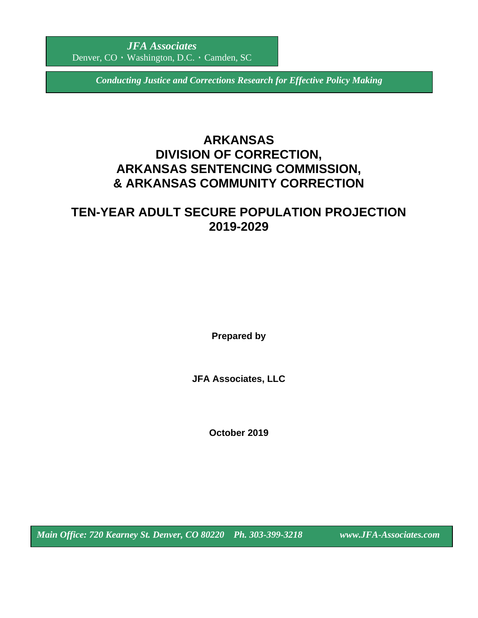*Conducting Justice and Corrections Research for Effective Policy Making*

# **ARKANSAS DIVISION OF CORRECTION, ARKANSAS SENTENCING COMMISSION, & ARKANSAS COMMUNITY CORRECTION**

# **TEN-YEAR ADULT SECURE POPULATION PROJECTION 2019-2029**

**Prepared by**

**JFA Associates, LLC**

**October 2019**

*Main Office: 720 Kearney St. Denver, CO 80220 Ph. 303-399-3218 www.JFA-Associates.com*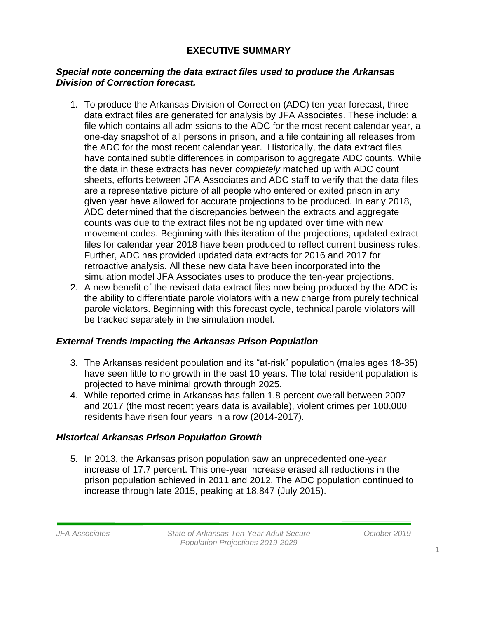## **EXECUTIVE SUMMARY**

### *Special note concerning the data extract files used to produce the Arkansas Division of Correction forecast.*

- 1. To produce the Arkansas Division of Correction (ADC) ten-year forecast, three data extract files are generated for analysis by JFA Associates. These include: a file which contains all admissions to the ADC for the most recent calendar year, a one-day snapshot of all persons in prison, and a file containing all releases from the ADC for the most recent calendar year. Historically, the data extract files have contained subtle differences in comparison to aggregate ADC counts. While the data in these extracts has never *completely* matched up with ADC count sheets, efforts between JFA Associates and ADC staff to verify that the data files are a representative picture of all people who entered or exited prison in any given year have allowed for accurate projections to be produced. In early 2018, ADC determined that the discrepancies between the extracts and aggregate counts was due to the extract files not being updated over time with new movement codes. Beginning with this iteration of the projections, updated extract files for calendar year 2018 have been produced to reflect current business rules. Further, ADC has provided updated data extracts for 2016 and 2017 for retroactive analysis. All these new data have been incorporated into the simulation model JFA Associates uses to produce the ten-year projections.
- 2. A new benefit of the revised data extract files now being produced by the ADC is the ability to differentiate parole violators with a new charge from purely technical parole violators. Beginning with this forecast cycle, technical parole violators will be tracked separately in the simulation model.

## *External Trends Impacting the Arkansas Prison Population*

- 3. The Arkansas resident population and its "at-risk" population (males ages 18-35) have seen little to no growth in the past 10 years. The total resident population is projected to have minimal growth through 2025.
- 4. While reported crime in Arkansas has fallen 1.8 percent overall between 2007 and 2017 (the most recent years data is available), violent crimes per 100,000 residents have risen four years in a row (2014-2017).

## *Historical Arkansas Prison Population Growth*

5. In 2013, the Arkansas prison population saw an unprecedented one-year increase of 17.7 percent. This one-year increase erased all reductions in the prison population achieved in 2011 and 2012. The ADC population continued to increase through late 2015, peaking at 18,847 (July 2015).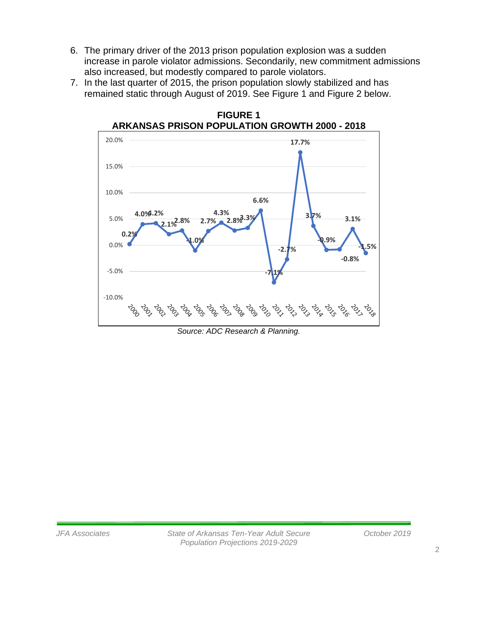- 6. The primary driver of the 2013 prison population explosion was a sudden increase in parole violator admissions. Secondarily, new commitment admissions also increased, but modestly compared to parole violators.
- 7. In the last quarter of 2015, the prison population slowly stabilized and has remained static through August of 2019. See Figure 1 and Figure 2 below.



**FIGURE 1**

*Source: ADC Research & Planning.*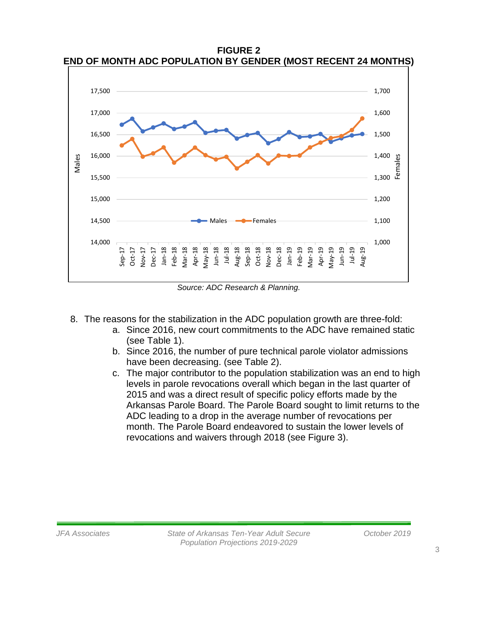**FIGURE 2 END OF MONTH ADC POPULATION BY GENDER (MOST RECENT 24 MONTHS)**



*Source: ADC Research & Planning.*

- 8. The reasons for the stabilization in the ADC population growth are three-fold:
	- a. Since 2016, new court commitments to the ADC have remained static (see Table 1).
	- b. Since 2016, the number of pure technical parole violator admissions have been decreasing. (see Table 2).
	- c. The major contributor to the population stabilization was an end to high levels in parole revocations overall which began in the last quarter of 2015 and was a direct result of specific policy efforts made by the Arkansas Parole Board. The Parole Board sought to limit returns to the ADC leading to a drop in the average number of revocations per month. The Parole Board endeavored to sustain the lower levels of revocations and waivers through 2018 (see Figure 3).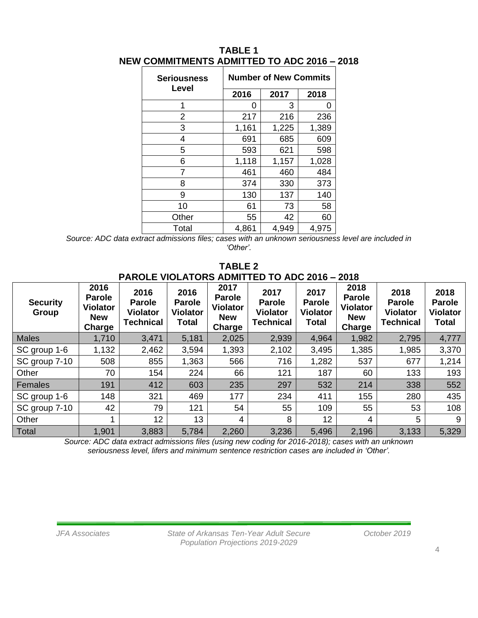| <b>Seriousness</b><br>Level | <b>Number of New Commits</b> |       |       |
|-----------------------------|------------------------------|-------|-------|
|                             | 2016                         | 2017  | 2018  |
| 1                           | O                            | 3     | 0     |
| 2                           | 217                          | 216   | 236   |
| 3                           | 1,161                        | 1,225 | 1,389 |
| 4                           | 691                          | 685   | 609   |
| 5                           | 593                          | 621   | 598   |
| 6                           | 1,118                        | 1,157 | 1,028 |
| 7                           | 461                          | 460   | 484   |
| 8                           | 374                          | 330   | 373   |
| 9                           | 130                          | 137   | 140   |
| 10                          | 61                           | 73    | 58    |
| Other                       | 55                           | 42    | 60    |
| Total                       | 4,861                        | 4,949 | 4,975 |

### **TABLE 1 NEW COMMITMENTS ADMITTED TO ADC 2016 – 2018**

*Source: ADC data extract admissions files; cases with an unknown seriousness level are included in 'Other'.*

#### **TABLE 2 PAROLE VIOLATORS ADMITTED TO ADC 2016 – 2018**

| <b>Security</b><br>Group | 2016<br><b>Parole</b><br><b>Violator</b><br><b>New</b><br>Charge | 2016<br><b>Parole</b><br><b>Violator</b><br><b>Technical</b> | 2016<br><b>Parole</b><br><b>Violator</b><br><b>Total</b> | 2017<br><b>Parole</b><br><b>Violator</b><br><b>New</b><br>Charge | 2017<br><b>Parole</b><br><b>Violator</b><br><b>Technical</b> | 2017<br><b>Parole</b><br><b>Violator</b><br><b>Total</b> | 2018<br><b>Parole</b><br><b>Violator</b><br><b>New</b><br>Charge | 2018<br><b>Parole</b><br><b>Violator</b><br><b>Technical</b> | 2018<br><b>Parole</b><br><b>Violator</b><br>Total |
|--------------------------|------------------------------------------------------------------|--------------------------------------------------------------|----------------------------------------------------------|------------------------------------------------------------------|--------------------------------------------------------------|----------------------------------------------------------|------------------------------------------------------------------|--------------------------------------------------------------|---------------------------------------------------|
| <b>Males</b>             | 1,710                                                            | 3,471                                                        | 5,181                                                    | 2,025                                                            | 2,939                                                        | 4,964                                                    | 1,982                                                            | 2,795                                                        | 4,777                                             |
| SC group 1-6             | 1,132                                                            | 2,462                                                        | 3,594                                                    | 1,393                                                            | 2,102                                                        | 3,495                                                    | 1,385                                                            | 1,985                                                        | 3,370                                             |
| SC group 7-10            | 508                                                              | 855                                                          | 1,363                                                    | 566                                                              | 716                                                          | 1,282                                                    | 537                                                              | 677                                                          | 1,214                                             |
| Other                    | 70                                                               | 154                                                          | 224                                                      | 66                                                               | 121                                                          | 187                                                      | 60                                                               | 133                                                          | 193                                               |
| Females                  | 191                                                              | 412                                                          | 603                                                      | 235                                                              | 297                                                          | 532                                                      | 214                                                              | 338                                                          | 552                                               |
| SC group 1-6             | 148                                                              | 321                                                          | 469                                                      | 177                                                              | 234                                                          | 411                                                      | 155                                                              | 280                                                          | 435                                               |
| SC group 7-10            | 42                                                               | 79                                                           | 121                                                      | 54                                                               | 55                                                           | 109                                                      | 55                                                               | 53                                                           | 108                                               |
| Other                    | 1                                                                | 12 <sub>2</sub>                                              | 13                                                       | 4                                                                | 8                                                            | 12                                                       | 4                                                                | 5                                                            | 9                                                 |
| Total                    | 1,901                                                            | 3,883                                                        | 5,784                                                    | 2,260                                                            | 3,236                                                        | 5,496                                                    | 2,196                                                            | 3,133                                                        | 5,329                                             |

*Source: ADC data extract admissions files (using new coding for 2016-2018); cases with an unknown seriousness level, lifers and minimum sentence restriction cases are included in 'Other'.*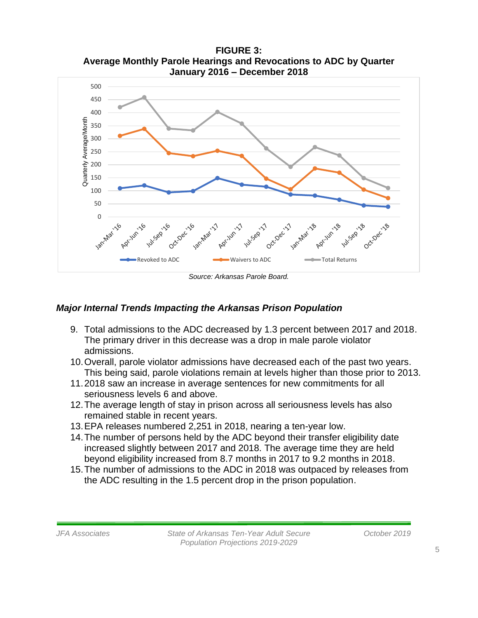

**FIGURE 3: Average Monthly Parole Hearings and Revocations to ADC by Quarter**

*Source: Arkansas Parole Board.*

### *Major Internal Trends Impacting the Arkansas Prison Population*

- 9. Total admissions to the ADC decreased by 1.3 percent between 2017 and 2018. The primary driver in this decrease was a drop in male parole violator admissions.
- 10.Overall, parole violator admissions have decreased each of the past two years. This being said, parole violations remain at levels higher than those prior to 2013.
- 11.2018 saw an increase in average sentences for new commitments for all seriousness levels 6 and above.
- 12.The average length of stay in prison across all seriousness levels has also remained stable in recent years.
- 13.EPA releases numbered 2,251 in 2018, nearing a ten-year low.
- 14.The number of persons held by the ADC beyond their transfer eligibility date increased slightly between 2017 and 2018. The average time they are held beyond eligibility increased from 8.7 months in 2017 to 9.2 months in 2018.
- 15.The number of admissions to the ADC in 2018 was outpaced by releases from the ADC resulting in the 1.5 percent drop in the prison population.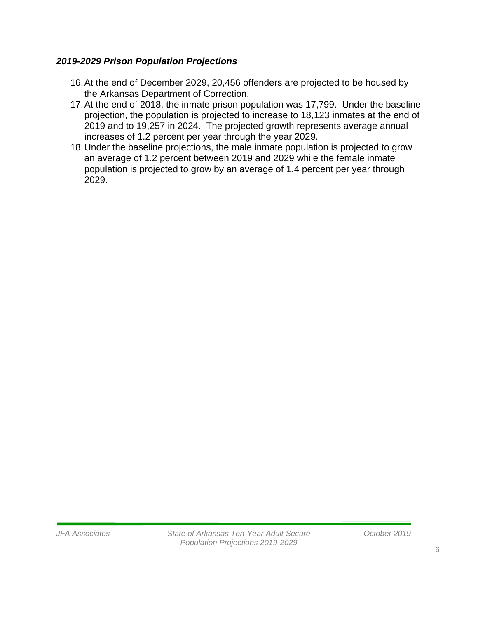## *2019-2029 Prison Population Projections*

- 16.At the end of December 2029, 20,456 offenders are projected to be housed by the Arkansas Department of Correction.
- 17.At the end of 2018, the inmate prison population was 17,799. Under the baseline projection, the population is projected to increase to 18,123 inmates at the end of 2019 and to 19,257 in 2024. The projected growth represents average annual increases of 1.2 percent per year through the year 2029.
- 18.Under the baseline projections, the male inmate population is projected to grow an average of 1.2 percent between 2019 and 2029 while the female inmate population is projected to grow by an average of 1.4 percent per year through 2029.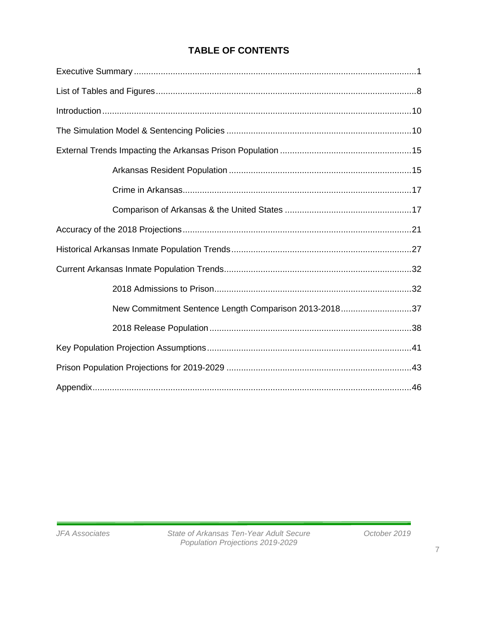## **TABLE OF CONTENTS**

| New Commitment Sentence Length Comparison 2013-201837 |  |
|-------------------------------------------------------|--|
|                                                       |  |
|                                                       |  |
|                                                       |  |
|                                                       |  |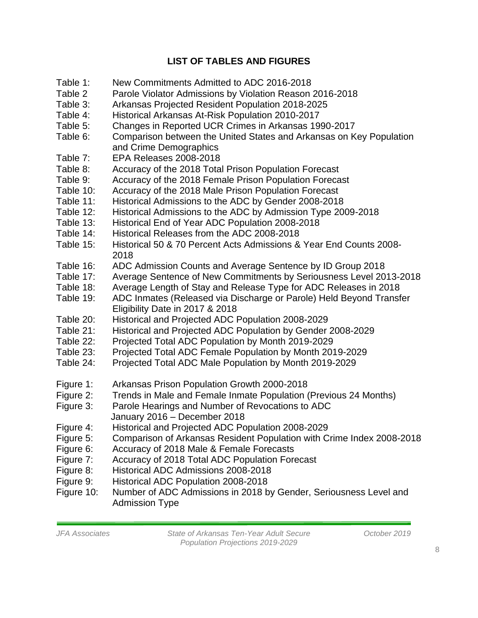## **LIST OF TABLES AND FIGURES**

- Table 1: New Commitments Admitted to ADC 2016-2018
- Table 2 Parole Violator Admissions by Violation Reason 2016-2018
- Table 3: Arkansas Projected Resident Population 2018-2025
- Table 4: Historical Arkansas At-Risk Population 2010-2017
- Table 5: Changes in Reported UCR Crimes in Arkansas 1990-2017
- Table 6: Comparison between the United States and Arkansas on Key Population and Crime Demographics
- Table 7: EPA Releases 2008-2018
- Table 8: Accuracy of the 2018 Total Prison Population Forecast
- Table 9: Accuracy of the 2018 Female Prison Population Forecast
- Table 10: Accuracy of the 2018 Male Prison Population Forecast
- Table 11: Historical Admissions to the ADC by Gender 2008-2018
- Table 12: Historical Admissions to the ADC by Admission Type 2009-2018
- Table 13: Historical End of Year ADC Population 2008-2018
- Table 14: Historical Releases from the ADC 2008-2018
- Table 15: Historical 50 & 70 Percent Acts Admissions & Year End Counts 2008- 2018
- Table 16: ADC Admission Counts and Average Sentence by ID Group 2018
- Table 17: Average Sentence of New Commitments by Seriousness Level 2013-2018
- Table 18: Average Length of Stay and Release Type for ADC Releases in 2018
- Table 19: ADC Inmates (Released via Discharge or Parole) Held Beyond Transfer Eligibility Date in 2017 & 2018
- Table 20: Historical and Projected ADC Population 2008-2029
- Table 21: Historical and Projected ADC Population by Gender 2008-2029
- Table 22: Projected Total ADC Population by Month 2019-2029
- Table 23: Projected Total ADC Female Population by Month 2019-2029
- Table 24: Projected Total ADC Male Population by Month 2019-2029
- Figure 1: Arkansas Prison Population Growth 2000-2018
- Figure 2: Trends in Male and Female Inmate Population (Previous 24 Months)
- Figure 3: Parole Hearings and Number of Revocations to ADC January 2016 – December 2018
- Figure 4: Historical and Projected ADC Population 2008-2029
- Figure 5: Comparison of Arkansas Resident Population with Crime Index 2008-2018
- Figure 6: Accuracy of 2018 Male & Female Forecasts
- Figure 7: Accuracy of 2018 Total ADC Population Forecast
- Figure 8: Historical ADC Admissions 2008-2018
- Figure 9: Historical ADC Population 2008-2018
- Figure 10: Number of ADC Admissions in 2018 by Gender, Seriousness Level and Admission Type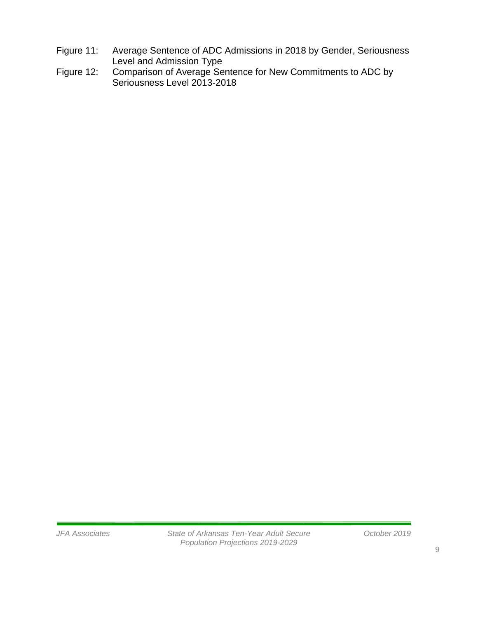- Figure 11: Average Sentence of ADC Admissions in 2018 by Gender, Seriousness Level and Admission Type
- Figure 12: Comparison of Average Sentence for New Commitments to ADC by Seriousness Level 2013-2018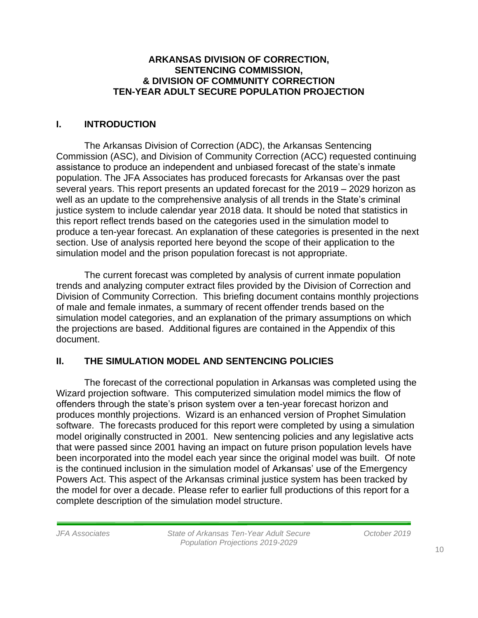#### **ARKANSAS DIVISION OF CORRECTION, SENTENCING COMMISSION, & DIVISION OF COMMUNITY CORRECTION TEN-YEAR ADULT SECURE POPULATION PROJECTION**

## **I. INTRODUCTION**

The Arkansas Division of Correction (ADC), the Arkansas Sentencing Commission (ASC), and Division of Community Correction (ACC) requested continuing assistance to produce an independent and unbiased forecast of the state's inmate population. The JFA Associates has produced forecasts for Arkansas over the past several years. This report presents an updated forecast for the 2019 – 2029 horizon as well as an update to the comprehensive analysis of all trends in the State's criminal justice system to include calendar year 2018 data. It should be noted that statistics in this report reflect trends based on the categories used in the simulation model to produce a ten-year forecast. An explanation of these categories is presented in the next section. Use of analysis reported here beyond the scope of their application to the simulation model and the prison population forecast is not appropriate.

The current forecast was completed by analysis of current inmate population trends and analyzing computer extract files provided by the Division of Correction and Division of Community Correction. This briefing document contains monthly projections of male and female inmates, a summary of recent offender trends based on the simulation model categories, and an explanation of the primary assumptions on which the projections are based. Additional figures are contained in the Appendix of this document.

## **II. THE SIMULATION MODEL AND SENTENCING POLICIES**

The forecast of the correctional population in Arkansas was completed using the Wizard projection software. This computerized simulation model mimics the flow of offenders through the state's prison system over a ten-year forecast horizon and produces monthly projections. Wizard is an enhanced version of Prophet Simulation software. The forecasts produced for this report were completed by using a simulation model originally constructed in 2001. New sentencing policies and any legislative acts that were passed since 2001 having an impact on future prison population levels have been incorporated into the model each year since the original model was built. Of note is the continued inclusion in the simulation model of Arkansas' use of the Emergency Powers Act. This aspect of the Arkansas criminal justice system has been tracked by the model for over a decade. Please refer to earlier full productions of this report for a complete description of the simulation model structure.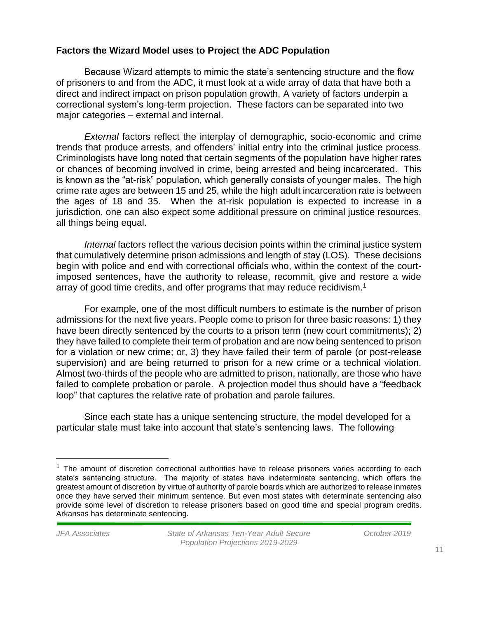### **Factors the Wizard Model uses to Project the ADC Population**

Because Wizard attempts to mimic the state's sentencing structure and the flow of prisoners to and from the ADC, it must look at a wide array of data that have both a direct and indirect impact on prison population growth. A variety of factors underpin a correctional system's long-term projection. These factors can be separated into two major categories – external and internal.

*External* factors reflect the interplay of demographic, socio-economic and crime trends that produce arrests, and offenders' initial entry into the criminal justice process. Criminologists have long noted that certain segments of the population have higher rates or chances of becoming involved in crime, being arrested and being incarcerated. This is known as the "at-risk" population, which generally consists of younger males. The high crime rate ages are between 15 and 25, while the high adult incarceration rate is between the ages of 18 and 35. When the at-risk population is expected to increase in a jurisdiction, one can also expect some additional pressure on criminal justice resources, all things being equal.

*Internal* factors reflect the various decision points within the criminal justice system that cumulatively determine prison admissions and length of stay (LOS). These decisions begin with police and end with correctional officials who, within the context of the courtimposed sentences, have the authority to release, recommit, give and restore a wide array of good time credits, and offer programs that may reduce recidivism.<sup>1</sup>

For example, one of the most difficult numbers to estimate is the number of prison admissions for the next five years. People come to prison for three basic reasons: 1) they have been directly sentenced by the courts to a prison term (new court commitments); 2) they have failed to complete their term of probation and are now being sentenced to prison for a violation or new crime; or, 3) they have failed their term of parole (or post-release supervision) and are being returned to prison for a new crime or a technical violation. Almost two-thirds of the people who are admitted to prison, nationally, are those who have failed to complete probation or parole. A projection model thus should have a "feedback loop" that captures the relative rate of probation and parole failures.

Since each state has a unique sentencing structure, the model developed for a particular state must take into account that state's sentencing laws. The following

 $<sup>1</sup>$  The amount of discretion correctional authorities have to release prisoners varies according to each</sup> state's sentencing structure. The majority of states have indeterminate sentencing, which offers the greatest amount of discretion by virtue of authority of parole boards which are authorized to release inmates once they have served their minimum sentence. But even most states with determinate sentencing also provide some level of discretion to release prisoners based on good time and special program credits. Arkansas has determinate sentencing.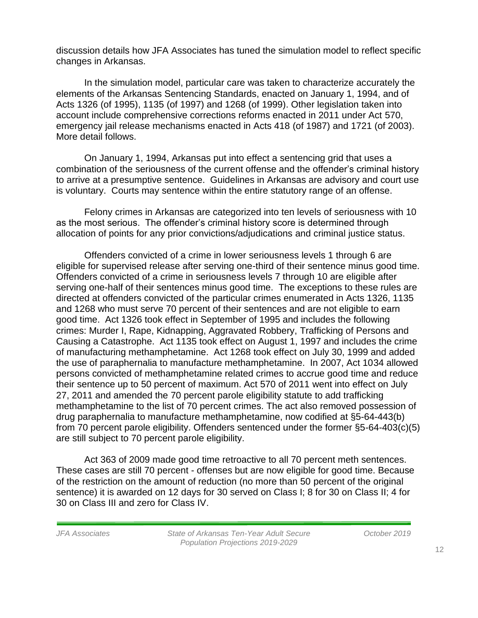discussion details how JFA Associates has tuned the simulation model to reflect specific changes in Arkansas.

In the simulation model, particular care was taken to characterize accurately the elements of the Arkansas Sentencing Standards, enacted on January 1, 1994, and of Acts 1326 (of 1995), 1135 (of 1997) and 1268 (of 1999). Other legislation taken into account include comprehensive corrections reforms enacted in 2011 under Act 570, emergency jail release mechanisms enacted in Acts 418 (of 1987) and 1721 (of 2003). More detail follows.

On January 1, 1994, Arkansas put into effect a sentencing grid that uses a combination of the seriousness of the current offense and the offender's criminal history to arrive at a presumptive sentence. Guidelines in Arkansas are advisory and court use is voluntary. Courts may sentence within the entire statutory range of an offense.

Felony crimes in Arkansas are categorized into ten levels of seriousness with 10 as the most serious. The offender's criminal history score is determined through allocation of points for any prior convictions/adjudications and criminal justice status.

Offenders convicted of a crime in lower seriousness levels 1 through 6 are eligible for supervised release after serving one-third of their sentence minus good time. Offenders convicted of a crime in seriousness levels 7 through 10 are eligible after serving one-half of their sentences minus good time. The exceptions to these rules are directed at offenders convicted of the particular crimes enumerated in Acts 1326, 1135 and 1268 who must serve 70 percent of their sentences and are not eligible to earn good time. Act 1326 took effect in September of 1995 and includes the following crimes: Murder I, Rape, Kidnapping, Aggravated Robbery, Trafficking of Persons and Causing a Catastrophe. Act 1135 took effect on August 1, 1997 and includes the crime of manufacturing methamphetamine. Act 1268 took effect on July 30, 1999 and added the use of paraphernalia to manufacture methamphetamine. In 2007, Act 1034 allowed persons convicted of methamphetamine related crimes to accrue good time and reduce their sentence up to 50 percent of maximum. Act 570 of 2011 went into effect on July 27, 2011 and amended the 70 percent parole eligibility statute to add trafficking methamphetamine to the list of 70 percent crimes. The act also removed possession of drug paraphernalia to manufacture methamphetamine, now codified at §5-64-443(b) from 70 percent parole eligibility. Offenders sentenced under the former §5-64-403(c)(5) are still subject to 70 percent parole eligibility.

Act 363 of 2009 made good time retroactive to all 70 percent meth sentences. These cases are still 70 percent - offenses but are now eligible for good time. Because of the restriction on the amount of reduction (no more than 50 percent of the original sentence) it is awarded on 12 days for 30 served on Class I; 8 for 30 on Class II; 4 for 30 on Class III and zero for Class IV.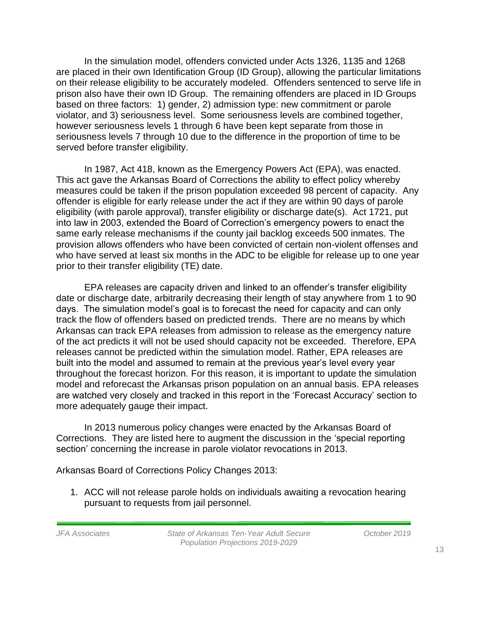In the simulation model, offenders convicted under Acts 1326, 1135 and 1268 are placed in their own Identification Group (ID Group), allowing the particular limitations on their release eligibility to be accurately modeled. Offenders sentenced to serve life in prison also have their own ID Group. The remaining offenders are placed in ID Groups based on three factors: 1) gender, 2) admission type: new commitment or parole violator, and 3) seriousness level. Some seriousness levels are combined together, however seriousness levels 1 through 6 have been kept separate from those in seriousness levels 7 through 10 due to the difference in the proportion of time to be served before transfer eligibility.

In 1987, Act 418, known as the Emergency Powers Act (EPA), was enacted. This act gave the Arkansas Board of Corrections the ability to effect policy whereby measures could be taken if the prison population exceeded 98 percent of capacity. Any offender is eligible for early release under the act if they are within 90 days of parole eligibility (with parole approval), transfer eligibility or discharge date(s). Act 1721, put into law in 2003, extended the Board of Correction's emergency powers to enact the same early release mechanisms if the county jail backlog exceeds 500 inmates. The provision allows offenders who have been convicted of certain non-violent offenses and who have served at least six months in the ADC to be eligible for release up to one year prior to their transfer eligibility (TE) date.

EPA releases are capacity driven and linked to an offender's transfer eligibility date or discharge date, arbitrarily decreasing their length of stay anywhere from 1 to 90 days. The simulation model's goal is to forecast the need for capacity and can only track the flow of offenders based on predicted trends. There are no means by which Arkansas can track EPA releases from admission to release as the emergency nature of the act predicts it will not be used should capacity not be exceeded. Therefore, EPA releases cannot be predicted within the simulation model. Rather, EPA releases are built into the model and assumed to remain at the previous year's level every year throughout the forecast horizon. For this reason, it is important to update the simulation model and reforecast the Arkansas prison population on an annual basis. EPA releases are watched very closely and tracked in this report in the 'Forecast Accuracy' section to more adequately gauge their impact.

In 2013 numerous policy changes were enacted by the Arkansas Board of Corrections. They are listed here to augment the discussion in the 'special reporting section' concerning the increase in parole violator revocations in 2013.

Arkansas Board of Corrections Policy Changes 2013:

1. ACC will not release parole holds on individuals awaiting a revocation hearing pursuant to requests from jail personnel.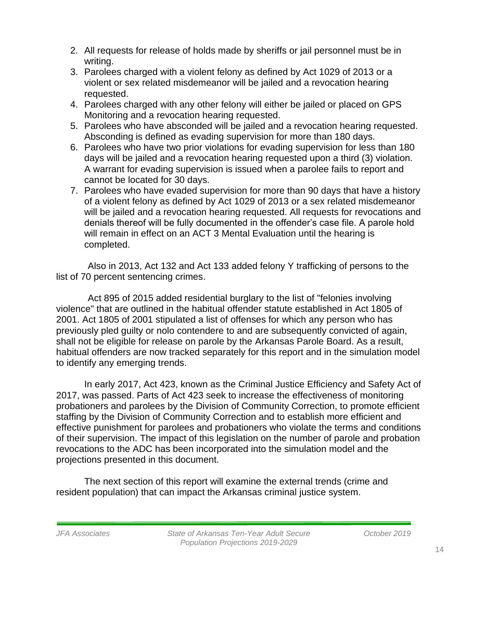- 2. All requests for release of holds made by sheriffs or jail personnel must be in writing.
- 3. Parolees charged with a violent felony as defined by Act 1029 of 2013 or a violent or sex related misdemeanor will be jailed and a revocation hearing requested.
- 4. Parolees charged with any other felony will either be jailed or placed on GPS Monitoring and a revocation hearing requested.
- 5. Parolees who have absconded will be jailed and a revocation hearing requested. Absconding is defined as evading supervision for more than 180 days.
- 6. Parolees who have two prior violations for evading supervision for less than 180 days will be jailed and a revocation hearing requested upon a third (3) violation. A warrant for evading supervision is issued when a parolee fails to report and cannot be located for 30 days.
- 7. Parolees who have evaded supervision for more than 90 days that have a history of a violent felony as defined by Act 1029 of 2013 or a sex related misdemeanor will be jailed and a revocation hearing requested. All requests for revocations and denials thereof will be fully documented in the offender's case file. A parole hold will remain in effect on an ACT 3 Mental Evaluation until the hearing is completed.

Also in 2013, Act 132 and Act 133 added felony Y trafficking of persons to the list of 70 percent sentencing crimes.

Act 895 of 2015 added residential burglary to the list of "felonies involving violence" that are outlined in the habitual offender statute established in Act 1805 of 2001. Act 1805 of 2001 stipulated a list of offenses for which any person who has previously pled guilty or nolo contendere to and are subsequently convicted of again, shall not be eligible for release on parole by the Arkansas Parole Board. As a result, habitual offenders are now tracked separately for this report and in the simulation model to identify any emerging trends.

In early 2017, Act 423, known as the Criminal Justice Efficiency and Safety Act of 2017, was passed. Parts of Act 423 seek to increase the effectiveness of monitoring probationers and parolees by the Division of Community Correction, to promote efficient staffing by the Division of Community Correction and to establish more efficient and effective punishment for parolees and probationers who violate the terms and conditions of their supervision. The impact of this legislation on the number of parole and probation revocations to the ADC has been incorporated into the simulation model and the projections presented in this document.

The next section of this report will examine the external trends (crime and resident population) that can impact the Arkansas criminal justice system.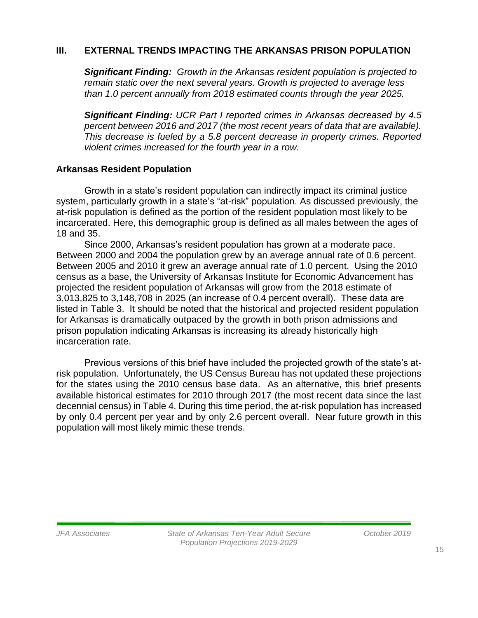### **III. EXTERNAL TRENDS IMPACTING THE ARKANSAS PRISON POPULATION**

*Significant Finding: Growth in the Arkansas resident population is projected to remain static over the next several years. Growth is projected to average less than 1.0 percent annually from 2018 estimated counts through the year 2025.* 

*Significant Finding: UCR Part I reported crimes in Arkansas decreased by 4.5 percent between 2016 and 2017 (the most recent years of data that are available). This decrease is fueled by a 5.8 percent decrease in property crimes. Reported violent crimes increased for the fourth year in a row.*

### **Arkansas Resident Population**

Growth in a state's resident population can indirectly impact its criminal justice system, particularly growth in a state's "at-risk" population. As discussed previously, the at-risk population is defined as the portion of the resident population most likely to be incarcerated. Here, this demographic group is defined as all males between the ages of 18 and 35.

Since 2000, Arkansas's resident population has grown at a moderate pace. Between 2000 and 2004 the population grew by an average annual rate of 0.6 percent. Between 2005 and 2010 it grew an average annual rate of 1.0 percent. Using the 2010 census as a base, the University of Arkansas Institute for Economic Advancement has projected the resident population of Arkansas will grow from the 2018 estimate of 3,013,825 to 3,148,708 in 2025 (an increase of 0.4 percent overall). These data are listed in Table 3. It should be noted that the historical and projected resident population for Arkansas is dramatically outpaced by the growth in both prison admissions and prison population indicating Arkansas is increasing its already historically high incarceration rate.

Previous versions of this brief have included the projected growth of the state's atrisk population. Unfortunately, the US Census Bureau has not updated these projections for the states using the 2010 census base data. As an alternative, this brief presents available historical estimates for 2010 through 2017 (the most recent data since the last decennial census) in Table 4. During this time period, the at-risk population has increased by only 0.4 percent per year and by only 2.6 percent overall. Near future growth in this population will most likely mimic these trends.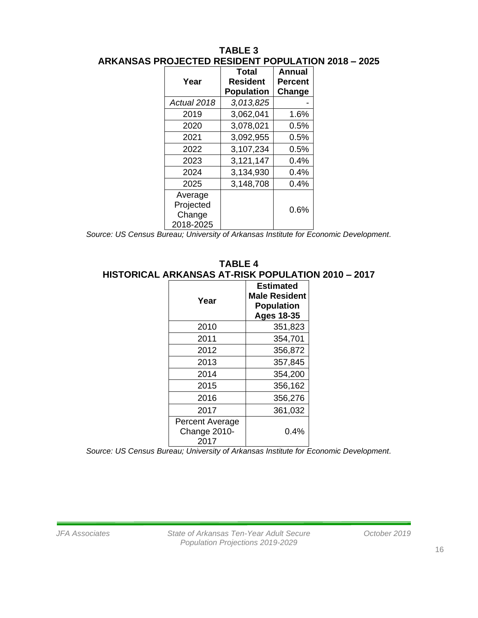#### **TABLE 3 ARKANSAS PROJECTED RESIDENT POPULATION 2018 – 2025**

| Year                                        | Total<br>Resident<br><b>Population</b> | Annual<br><b>Percent</b><br>Change |
|---------------------------------------------|----------------------------------------|------------------------------------|
| Actual 2018                                 | 3,013,825                              |                                    |
| 2019                                        | 3,062,041                              | 1.6%                               |
| 2020                                        | 3,078,021                              | 0.5%                               |
| 2021                                        | 3,092,955                              | 0.5%                               |
| 2022                                        | 3,107,234                              | 0.5%                               |
| 2023                                        | 3,121,147                              | $0.4\%$                            |
| 2024                                        | 3,134,930                              | 0.4%                               |
| 2025                                        | 3,148,708                              | 0.4%                               |
| Average<br>Projected<br>Change<br>2018-2025 |                                        | $0.6\%$                            |

*Source: US Census Bureau; University of Arkansas Institute for Economic Development.*

#### **TABLE 4 HISTORICAL ARKANSAS AT-RISK POPULATION 2010 – 2017**

| Year                                           | <b>Estimated</b><br><b>Male Resident</b><br><b>Population</b><br><b>Ages 18-35</b> |
|------------------------------------------------|------------------------------------------------------------------------------------|
| 2010                                           | 351,823                                                                            |
| 2011                                           | 354,701                                                                            |
| 2012                                           | 356,872                                                                            |
| 2013                                           | 357,845                                                                            |
| 2014                                           | 354,200                                                                            |
| 2015                                           | 356,162                                                                            |
| 2016                                           | 356,276                                                                            |
| 2017                                           | 361,032                                                                            |
| <b>Percent Average</b><br>Change 2010-<br>2017 | 0.4%                                                                               |

*Source: US Census Bureau; University of Arkansas Institute for Economic Development.*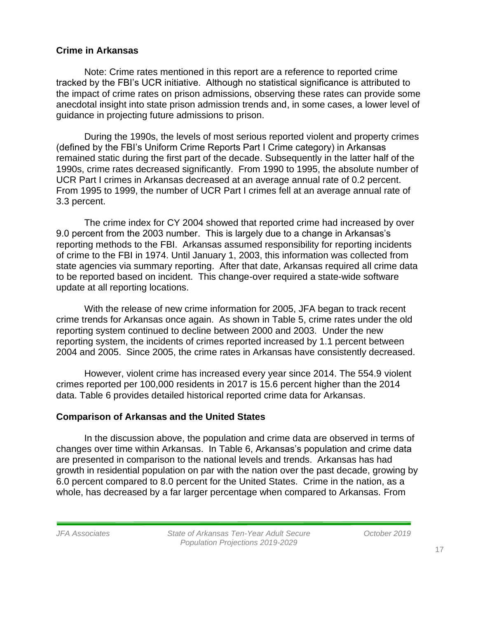#### **Crime in Arkansas**

Note: Crime rates mentioned in this report are a reference to reported crime tracked by the FBI's UCR initiative. Although no statistical significance is attributed to the impact of crime rates on prison admissions, observing these rates can provide some anecdotal insight into state prison admission trends and, in some cases, a lower level of guidance in projecting future admissions to prison.

During the 1990s, the levels of most serious reported violent and property crimes (defined by the FBI's Uniform Crime Reports Part I Crime category) in Arkansas remained static during the first part of the decade. Subsequently in the latter half of the 1990s, crime rates decreased significantly. From 1990 to 1995, the absolute number of UCR Part I crimes in Arkansas decreased at an average annual rate of 0.2 percent. From 1995 to 1999, the number of UCR Part I crimes fell at an average annual rate of 3.3 percent.

The crime index for CY 2004 showed that reported crime had increased by over 9.0 percent from the 2003 number. This is largely due to a change in Arkansas's reporting methods to the FBI. Arkansas assumed responsibility for reporting incidents of crime to the FBI in 1974. Until January 1, 2003, this information was collected from state agencies via summary reporting. After that date, Arkansas required all crime data to be reported based on incident. This change-over required a state-wide software update at all reporting locations.

With the release of new crime information for 2005, JFA began to track recent crime trends for Arkansas once again. As shown in Table 5, crime rates under the old reporting system continued to decline between 2000 and 2003. Under the new reporting system, the incidents of crimes reported increased by 1.1 percent between 2004 and 2005. Since 2005, the crime rates in Arkansas have consistently decreased.

However, violent crime has increased every year since 2014. The 554.9 violent crimes reported per 100,000 residents in 2017 is 15.6 percent higher than the 2014 data. Table 6 provides detailed historical reported crime data for Arkansas.

#### **Comparison of Arkansas and the United States**

In the discussion above, the population and crime data are observed in terms of changes over time within Arkansas. In Table 6, Arkansas's population and crime data are presented in comparison to the national levels and trends. Arkansas has had growth in residential population on par with the nation over the past decade, growing by 6.0 percent compared to 8.0 percent for the United States. Crime in the nation, as a whole, has decreased by a far larger percentage when compared to Arkansas. From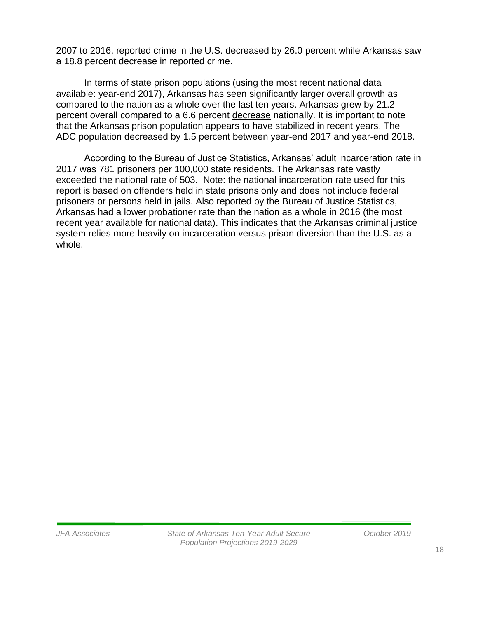2007 to 2016, reported crime in the U.S. decreased by 26.0 percent while Arkansas saw a 18.8 percent decrease in reported crime.

In terms of state prison populations (using the most recent national data available: year-end 2017), Arkansas has seen significantly larger overall growth as compared to the nation as a whole over the last ten years. Arkansas grew by 21.2 percent overall compared to a 6.6 percent decrease nationally. It is important to note that the Arkansas prison population appears to have stabilized in recent years. The ADC population decreased by 1.5 percent between year-end 2017 and year-end 2018.

According to the Bureau of Justice Statistics, Arkansas' adult incarceration rate in 2017 was 781 prisoners per 100,000 state residents. The Arkansas rate vastly exceeded the national rate of 503. Note: the national incarceration rate used for this report is based on offenders held in state prisons only and does not include federal prisoners or persons held in jails. Also reported by the Bureau of Justice Statistics, Arkansas had a lower probationer rate than the nation as a whole in 2016 (the most recent year available for national data). This indicates that the Arkansas criminal justice system relies more heavily on incarceration versus prison diversion than the U.S. as a whole.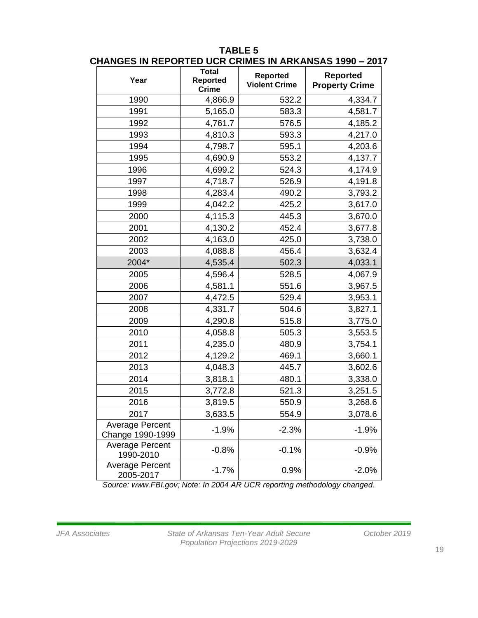| וויש ושוויש.                               | וווווווט וטע<br><b>Total</b>    |                                         | <u>,  Annanoau 1999</u>                  |
|--------------------------------------------|---------------------------------|-----------------------------------------|------------------------------------------|
| Year                                       | <b>Reported</b><br><b>Crime</b> | <b>Reported</b><br><b>Violent Crime</b> | <b>Reported</b><br><b>Property Crime</b> |
| 1990                                       | 4,866.9                         | 532.2                                   | 4,334.7                                  |
| 1991                                       | 5,165.0                         | 583.3                                   | 4,581.7                                  |
| 1992                                       | 4,761.7                         | 576.5                                   | 4,185.2                                  |
| 1993                                       | 4,810.3                         | 593.3                                   | 4,217.0                                  |
| 1994                                       | 4,798.7                         | 595.1                                   | 4,203.6                                  |
| 1995                                       | 4,690.9                         | 553.2                                   | 4,137.7                                  |
| 1996                                       | 4,699.2                         | 524.3                                   | 4,174.9                                  |
| 1997                                       | 4,718.7                         | 526.9                                   | 4,191.8                                  |
| 1998                                       | 4,283.4                         | 490.2                                   | 3,793.2                                  |
| 1999                                       | 4,042.2                         | 425.2                                   | 3,617.0                                  |
| 2000                                       | 4,115.3                         | 445.3                                   | 3,670.0                                  |
| 2001                                       | 4,130.2                         | 452.4                                   | 3,677.8                                  |
| 2002                                       | 4,163.0                         | 425.0                                   | 3,738.0                                  |
| 2003                                       | 4,088.8                         | 456.4                                   | 3,632.4                                  |
| 2004*                                      | 4,535.4                         | 502.3                                   | 4,033.1                                  |
| 2005                                       | 4,596.4                         | 528.5                                   | 4,067.9                                  |
| 2006                                       | 4,581.1                         | 551.6                                   | 3,967.5                                  |
| 2007                                       | 4,472.5                         | 529.4                                   | 3,953.1                                  |
| 2008                                       | 4,331.7                         | 504.6                                   | 3,827.1                                  |
| 2009                                       | 4,290.8                         | 515.8                                   | 3,775.0                                  |
| 2010                                       | 4,058.8                         | 505.3                                   | 3,553.5                                  |
| 2011                                       | 4,235.0                         | 480.9                                   | 3,754.1                                  |
| 2012                                       | 4,129.2                         | 469.1                                   | 3,660.1                                  |
| 2013                                       | 4,048.3                         | 445.7                                   | 3,602.6                                  |
| 2014                                       | 3,818.1                         | 480.1                                   | 3,338.0                                  |
| 2015                                       | 3,772.8                         | 521.3                                   | 3,251.5                                  |
| 2016                                       | 3,819.5                         | 550.9                                   | 3,268.6                                  |
| 2017                                       | 3,633.5                         | 554.9                                   | 3,078.6                                  |
| <b>Average Percent</b><br>Change 1990-1999 | $-1.9%$                         | $-2.3%$                                 | $-1.9%$                                  |
| <b>Average Percent</b><br>1990-2010        | $-0.8%$                         | $-0.1%$                                 | $-0.9%$                                  |
| Average Percent<br>2005-2017               | $-1.7%$                         | 0.9%                                    | $-2.0%$                                  |

#### **TABLE 5 CHANGES IN REPORTED UCR CRIMES IN ARKANSAS 1990 – 2017**

*Source: www.FBI.gov; Note: In 2004 AR UCR reporting methodology changed.*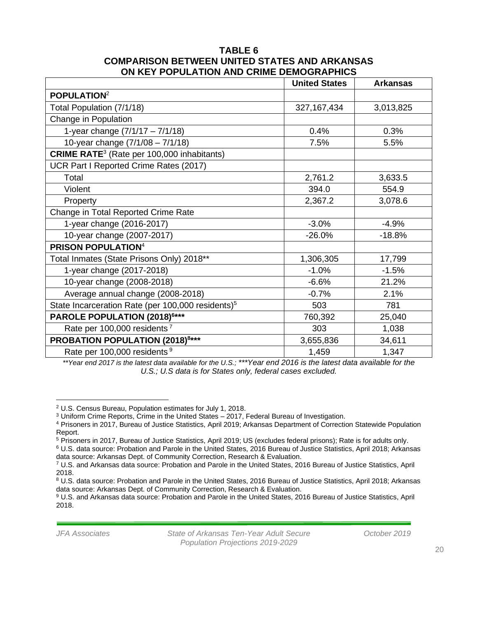#### **TABLE 6 COMPARISON BETWEEN UNITED STATES AND ARKANSAS ON KEY POPULATION AND CRIME DEMOGRAPHICS**

|                                                               | <b>United States</b> | <b>Arkansas</b> |
|---------------------------------------------------------------|----------------------|-----------------|
| POPULATION <sup>2</sup>                                       |                      |                 |
| Total Population (7/1/18)                                     | 327, 167, 434        | 3,013,825       |
| Change in Population                                          |                      |                 |
| 1-year change $(7/1/17 - 7/1/18)$                             | 0.4%                 | 0.3%            |
| 10-year change (7/1/08 - 7/1/18)                              | 7.5%                 | 5.5%            |
| <b>CRIME RATE</b> <sup>3</sup> (Rate per 100,000 inhabitants) |                      |                 |
| UCR Part I Reported Crime Rates (2017)                        |                      |                 |
| Total                                                         | 2,761.2              | 3,633.5         |
| Violent                                                       | 394.0                | 554.9           |
| Property                                                      | 2,367.2              | 3,078.6         |
| Change in Total Reported Crime Rate                           |                      |                 |
| 1-year change (2016-2017)                                     | $-3.0%$              | $-4.9%$         |
| 10-year change (2007-2017)                                    | $-26.0%$             | $-18.8%$        |
| <b>PRISON POPULATION4</b>                                     |                      |                 |
| Total Inmates (State Prisons Only) 2018**                     | 1,306,305            | 17,799          |
| 1-year change (2017-2018)                                     | $-1.0%$              | $-1.5%$         |
| 10-year change (2008-2018)                                    | $-6.6%$              | 21.2%           |
| Average annual change (2008-2018)                             | $-0.7%$              | 2.1%            |
| State Incarceration Rate (per 100,000 residents) <sup>5</sup> | 503                  | 781             |
| PAROLE POPULATION (2018) <sup>6***</sup>                      | 760,392              | 25,040          |
| Rate per 100,000 residents <sup>7</sup>                       | 303                  | 1,038           |
| <b>PROBATION POPULATION (2018)8***</b>                        | 3,655,836            | 34,611          |
| Rate per 100,000 residents <sup>9</sup>                       | 1,459                | 1,347           |

*\*\*Year end 2017 is the latest data available for the U.S.; \*\*\*Year end 2016 is the latest data available for the U.S.; U.S data is for States only, federal cases excluded.*

*JFA Associates State of Arkansas Ten-Year Adult Secure October 2019 Population Projections 2019-2029*

<sup>2</sup> U.S. Census Bureau, Population estimates for July 1, 2018.

<sup>3</sup> Uniform Crime Reports, Crime in the United States – 2017, Federal Bureau of Investigation.

<sup>4</sup> Prisoners in 2017, Bureau of Justice Statistics, April 2019; Arkansas Department of Correction Statewide Population Report.

<sup>5</sup> Prisoners in 2017, Bureau of Justice Statistics, April 2019; US (excludes federal prisons); Rate is for adults only.

<sup>6</sup> U.S. data source: Probation and Parole in the United States, 2016 Bureau of Justice Statistics, April 2018; Arkansas data source: Arkansas Dept. of Community Correction, Research & Evaluation.

<sup>7</sup> U.S. and Arkansas data source: Probation and Parole in the United States, 2016 Bureau of Justice Statistics, April 2018.

<sup>8</sup> U.S. data source: Probation and Parole in the United States, 2016 Bureau of Justice Statistics, April 2018; Arkansas data source: Arkansas Dept. of Community Correction, Research & Evaluation.

<sup>9</sup> U.S. and Arkansas data source: Probation and Parole in the United States, 2016 Bureau of Justice Statistics, April 2018.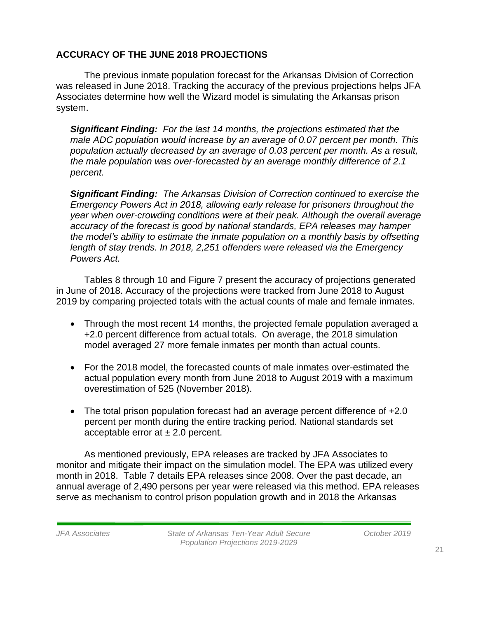## **ACCURACY OF THE JUNE 2018 PROJECTIONS**

The previous inmate population forecast for the Arkansas Division of Correction was released in June 2018. Tracking the accuracy of the previous projections helps JFA Associates determine how well the Wizard model is simulating the Arkansas prison system.

*Significant Finding: For the last 14 months, the projections estimated that the male ADC population would increase by an average of 0.07 percent per month. This population actually decreased by an average of 0.03 percent per month. As a result, the male population was over-forecasted by an average monthly difference of 2.1 percent.* 

*Significant Finding: The Arkansas Division of Correction continued to exercise the Emergency Powers Act in 2018, allowing early release for prisoners throughout the year when over-crowding conditions were at their peak. Although the overall average accuracy of the forecast is good by national standards, EPA releases may hamper the model's ability to estimate the inmate population on a monthly basis by offsetting length of stay trends. In 2018, 2,251 offenders were released via the Emergency Powers Act.* 

Tables 8 through 10 and Figure 7 present the accuracy of projections generated in June of 2018. Accuracy of the projections were tracked from June 2018 to August 2019 by comparing projected totals with the actual counts of male and female inmates.

- Through the most recent 14 months, the projected female population averaged a +2.0 percent difference from actual totals. On average, the 2018 simulation model averaged 27 more female inmates per month than actual counts.
- For the 2018 model, the forecasted counts of male inmates over-estimated the actual population every month from June 2018 to August 2019 with a maximum overestimation of 525 (November 2018).
- The total prison population forecast had an average percent difference of +2.0 percent per month during the entire tracking period. National standards set acceptable error at  $\pm 2.0$  percent.

As mentioned previously, EPA releases are tracked by JFA Associates to monitor and mitigate their impact on the simulation model. The EPA was utilized every month in 2018. Table 7 details EPA releases since 2008. Over the past decade, an annual average of 2,490 persons per year were released via this method. EPA releases serve as mechanism to control prison population growth and in 2018 the Arkansas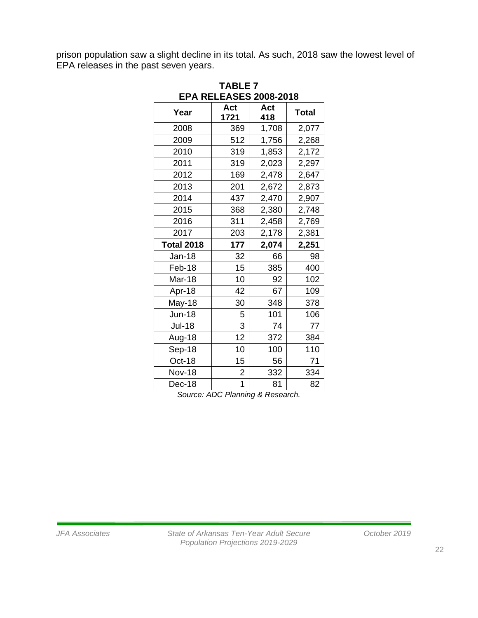prison population saw a slight decline in its total. As such, 2018 saw the lowest level of EPA releases in the past seven years.

| <b>TABLE 7</b><br><b>EPA RELEASES 2008-2018</b> |                         |            |              |  |  |
|-------------------------------------------------|-------------------------|------------|--------------|--|--|
| Year                                            | Act<br>1721             | Act<br>418 | <b>Total</b> |  |  |
| 2008                                            | 369                     | 1,708      | 2,077        |  |  |
| 2009                                            | 512                     | 1,756      | 2,268        |  |  |
| 2010                                            | 319                     | 1,853      | 2,172        |  |  |
| 2011                                            | 319                     | 2,023      | 2,297        |  |  |
| 2012                                            | 169                     | 2,478      | 2,647        |  |  |
| 2013                                            | 201                     | 2,672      | 2,873        |  |  |
| 2014                                            | 437                     | 2,470      | 2,907        |  |  |
| 2015                                            | 368                     | 2,380      | 2,748        |  |  |
| 2016                                            | 311                     | 2,458      | 2,769        |  |  |
| 2017                                            | 203                     | 2,178      | 2,381        |  |  |
| <b>Total 2018</b>                               | 177                     | 2,074      | 2,251        |  |  |
| <b>Jan-18</b>                                   | 32                      | 66         | 98           |  |  |
| Feb-18                                          | 15                      | 385        | 400          |  |  |
| Mar-18                                          | 10                      | 92         | 102          |  |  |
| Apr-18                                          | 42                      | 67         | 109          |  |  |
| May-18                                          | 30                      | 348        | 378          |  |  |
| <b>Jun-18</b>                                   | 5                       | 101        | 106          |  |  |
| <b>Jul-18</b>                                   | 3                       | 74         | 77           |  |  |
| Aug-18                                          | 12                      | 372        | 384          |  |  |
| Sep-18                                          | 10                      | 100        | 110          |  |  |
| Oct-18                                          | 15                      | 56         | 71           |  |  |
| <b>Nov-18</b>                                   | $\overline{\mathbf{c}}$ | 332        | 334          |  |  |
| Dec-18                                          | 1                       | 81         | 82           |  |  |

*Source: ADC Planning & Research.*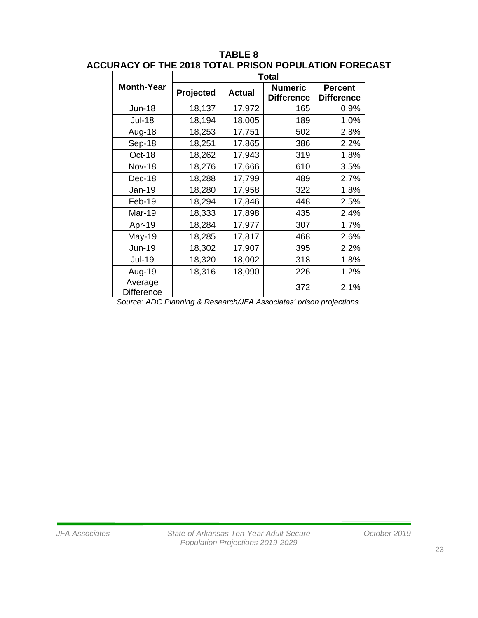|                                                             | <b>Total</b>                       |               |                                     |                                     |
|-------------------------------------------------------------|------------------------------------|---------------|-------------------------------------|-------------------------------------|
| <b>Month-Year</b>                                           | Projected                          | <b>Actual</b> | <b>Numeric</b><br><b>Difference</b> | <b>Percent</b><br><b>Difference</b> |
| <b>Jun-18</b>                                               | 18,137                             | 17,972        | 165                                 | 0.9%                                |
| <b>Jul-18</b>                                               | 18,194                             | 18,005        | 189                                 | 1.0%                                |
| Aug-18                                                      | 18,253                             | 17,751        | 502                                 | 2.8%                                |
| Sep-18                                                      | 18,251                             | 17,865        | 386                                 | 2.2%                                |
| Oct-18                                                      | 18,262                             | 17,943        | 319                                 | 1.8%                                |
| <b>Nov-18</b>                                               | 18,276                             | 17,666        | 610                                 | 3.5%                                |
| Dec-18                                                      | 18,288                             | 17,799        | 489                                 | 2.7%                                |
| Jan-19                                                      | 18,280                             | 17,958        | 322                                 | 1.8%                                |
| Feb-19                                                      | 18,294                             | 17,846        | 448                                 | 2.5%                                |
| <b>Mar-19</b>                                               | 18,333                             | 17,898        | 435                                 | 2.4%                                |
| Apr-19                                                      | 18,284                             | 17,977        | 307                                 | 1.7%                                |
| May-19                                                      | 18,285                             | 17,817        | 468                                 | 2.6%                                |
| Jun-19                                                      | 18,302                             | 17,907        | 395                                 | 2.2%                                |
| <b>Jul-19</b>                                               | 18,320                             | 18,002        | 318                                 | 1.8%                                |
| Aug-19                                                      | 18,316                             | 18,090        | 226                                 | 1.2%                                |
| Average<br><b>Difference</b><br>$\sim$ $\sim$ $\sim$ $\sim$ | $\sim$ 100 $\sim$<br>$\sim$ $\sim$ | $1.11 - A$    | 372<br>$1 - 1 - 1 - 1 - 1 - 1 - 1$  | 2.1%                                |

## **TABLE 8 ACCURACY OF THE 2018 TOTAL PRISON POPULATION FORECAST**

*Source: ADC Planning & Research/JFA Associates' prison projections.*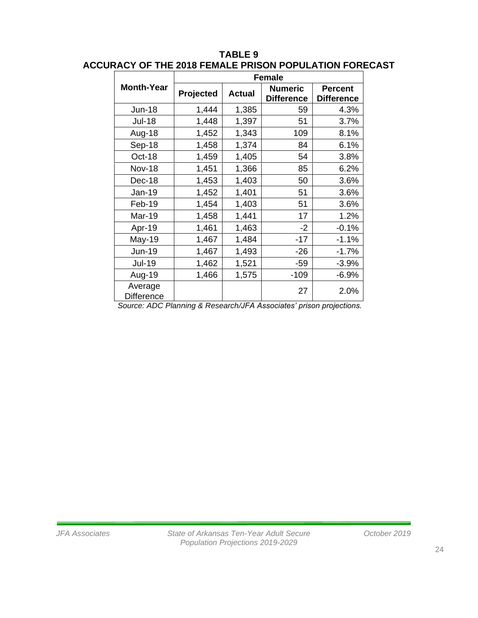|                              | <b>Female</b> |               |                                     |                                     |
|------------------------------|---------------|---------------|-------------------------------------|-------------------------------------|
| <b>Month-Year</b>            | Projected     | <b>Actual</b> | <b>Numeric</b><br><b>Difference</b> | <b>Percent</b><br><b>Difference</b> |
| <b>Jun-18</b>                | 1,444         | 1,385         | 59                                  | 4.3%                                |
| <b>Jul-18</b>                | 1,448         | 1,397         | 51                                  | 3.7%                                |
| Aug-18                       | 1,452         | 1,343         | 109                                 | 8.1%                                |
| Sep-18                       | 1,458         | 1,374         | 84                                  | 6.1%                                |
| Oct-18                       | 1,459         | 1,405         | 54                                  | 3.8%                                |
| <b>Nov-18</b>                | 1,451         | 1,366         | 85                                  | 6.2%                                |
| Dec-18                       | 1,453         | 1,403         | 50                                  | 3.6%                                |
| Jan-19                       | 1,452         | 1,401         | 51                                  | 3.6%                                |
| Feb-19                       | 1,454         | 1,403         | 51                                  | 3.6%                                |
| Mar-19                       | 1,458         | 1,441         | 17                                  | 1.2%                                |
| Apr-19                       | 1,461         | 1,463         | $-2$                                | $-0.1%$                             |
| May-19                       | 1,467         | 1,484         | $-17$                               | $-1.1%$                             |
| <b>Jun-19</b>                | 1,467         | 1,493         | $-26$                               | $-1.7%$                             |
| <b>Jul-19</b>                | 1,462         | 1,521         | $-59$                               | $-3.9%$                             |
| Aug-19                       | 1,466         | 1,575         | $-109$                              | $-6.9%$                             |
| Average<br><b>Difference</b> |               |               | 27                                  | 2.0%                                |

### **TABLE 9 ACCURACY OF THE 2018 FEMALE PRISON POPULATION FORECAST**

*Source: ADC Planning & Research/JFA Associates' prison projections.*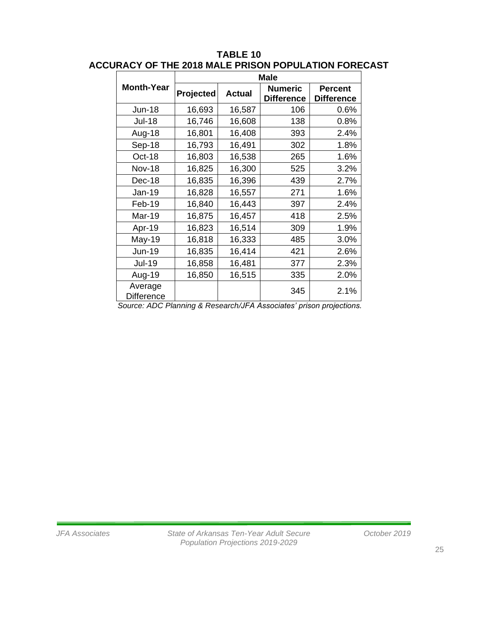|                              | <b>Male</b> |               |                                     |                                     |
|------------------------------|-------------|---------------|-------------------------------------|-------------------------------------|
| <b>Month-Year</b>            | Projected   | <b>Actual</b> | <b>Numeric</b><br><b>Difference</b> | <b>Percent</b><br><b>Difference</b> |
| <b>Jun-18</b>                | 16,693      | 16,587        | 106                                 | 0.6%                                |
| <b>Jul-18</b>                | 16,746      | 16,608        | 138                                 | 0.8%                                |
| Aug-18                       | 16,801      | 16,408        | 393                                 | 2.4%                                |
| Sep-18                       | 16,793      | 16,491        | 302                                 | 1.8%                                |
| Oct-18                       | 16,803      | 16,538        | 265                                 | 1.6%                                |
| <b>Nov-18</b>                | 16,825      | 16,300        | 525                                 | 3.2%                                |
| Dec-18                       | 16,835      | 16,396        | 439                                 | 2.7%                                |
| Jan-19                       | 16,828      | 16,557        | 271                                 | 1.6%                                |
| Feb-19                       | 16,840      | 16,443        | 397                                 | 2.4%                                |
| Mar-19                       | 16,875      | 16,457        | 418                                 | 2.5%                                |
| Apr-19                       | 16,823      | 16,514        | 309                                 | 1.9%                                |
| May-19                       | 16,818      | 16,333        | 485                                 | 3.0%                                |
| <b>Jun-19</b>                | 16,835      | 16,414        | 421                                 | 2.6%                                |
| <b>Jul-19</b>                | 16,858      | 16,481        | 377                                 | 2.3%                                |
| Aug-19                       | 16,850      | 16,515        | 335                                 | 2.0%                                |
| Average<br><b>Difference</b> |             |               | 345                                 | 2.1%                                |

## **TABLE 10 ACCURACY OF THE 2018 MALE PRISON POPULATION FORECAST**

*Source: ADC Planning & Research/JFA Associates' prison projections.*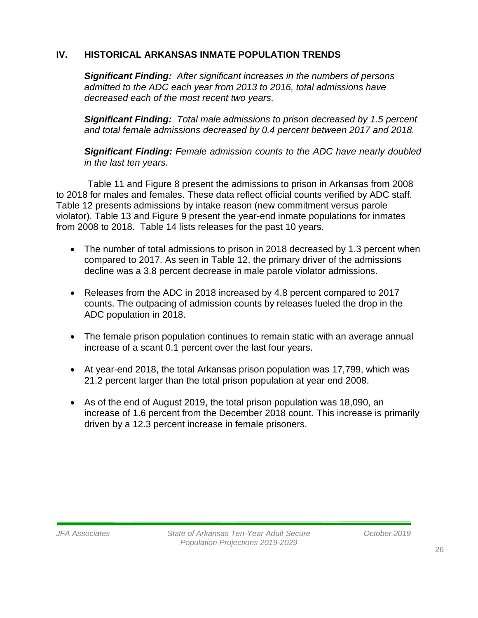## **IV. HISTORICAL ARKANSAS INMATE POPULATION TRENDS**

*Significant Finding: After significant increases in the numbers of persons admitted to the ADC each year from 2013 to 2016, total admissions have decreased each of the most recent two years.* 

*Significant Finding: Total male admissions to prison decreased by 1.5 percent and total female admissions decreased by 0.4 percent between 2017 and 2018.* 

*Significant Finding: Female admission counts to the ADC have nearly doubled in the last ten years.*

Table 11 and Figure 8 present the admissions to prison in Arkansas from 2008 to 2018 for males and females. These data reflect official counts verified by ADC staff. Table 12 presents admissions by intake reason (new commitment versus parole violator). Table 13 and Figure 9 present the year-end inmate populations for inmates from 2008 to 2018. Table 14 lists releases for the past 10 years.

- The number of total admissions to prison in 2018 decreased by 1.3 percent when compared to 2017. As seen in Table 12, the primary driver of the admissions decline was a 3.8 percent decrease in male parole violator admissions.
- Releases from the ADC in 2018 increased by 4.8 percent compared to 2017 counts. The outpacing of admission counts by releases fueled the drop in the ADC population in 2018.
- The female prison population continues to remain static with an average annual increase of a scant 0.1 percent over the last four years.
- At year-end 2018, the total Arkansas prison population was 17,799, which was 21.2 percent larger than the total prison population at year end 2008.
- As of the end of August 2019, the total prison population was 18,090, an increase of 1.6 percent from the December 2018 count. This increase is primarily driven by a 12.3 percent increase in female prisoners.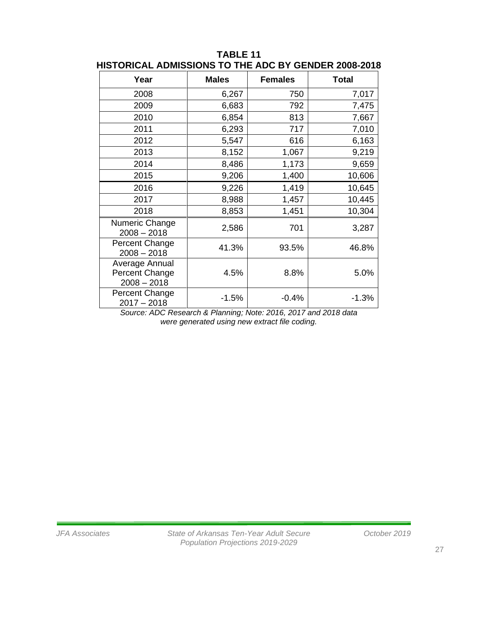| Year                                                     | <b>Males</b> | <b>Females</b> | <b>Total</b> |
|----------------------------------------------------------|--------------|----------------|--------------|
| 2008                                                     | 6,267        | 750            | 7,017        |
| 2009                                                     | 6,683        | 792            | 7,475        |
| 2010                                                     | 6,854        | 813            | 7,667        |
| 2011                                                     | 6,293        | 717            | 7,010        |
| 2012                                                     | 5,547        | 616            | 6,163        |
| 2013                                                     | 8,152        | 1,067          | 9,219        |
| 2014                                                     | 8,486        | 1,173          | 9,659        |
| 2015                                                     | 9,206        | 1,400          | 10,606       |
| 2016                                                     | 9,226        | 1,419          | 10,645       |
| 2017                                                     | 8,988        | 1,457          | 10,445       |
| 2018                                                     | 8,853        | 1,451          | 10,304       |
| Numeric Change<br>$2008 - 2018$                          | 2,586        | 701            | 3,287        |
| Percent Change<br>$2008 - 2018$                          | 41.3%        | 93.5%          | 46.8%        |
| Average Annual<br><b>Percent Change</b><br>$2008 - 2018$ | 4.5%         | 8.8%           | 5.0%         |
| Percent Change<br>$2017 - 2018$                          | $-1.5%$      | $-0.4%$        | $-1.3%$      |

#### **TABLE 11 HISTORICAL ADMISSIONS TO THE ADC BY GENDER 2008-2018**

*Source: ADC Research & Planning; Note: 2016, 2017 and 2018 data were generated using new extract file coding.*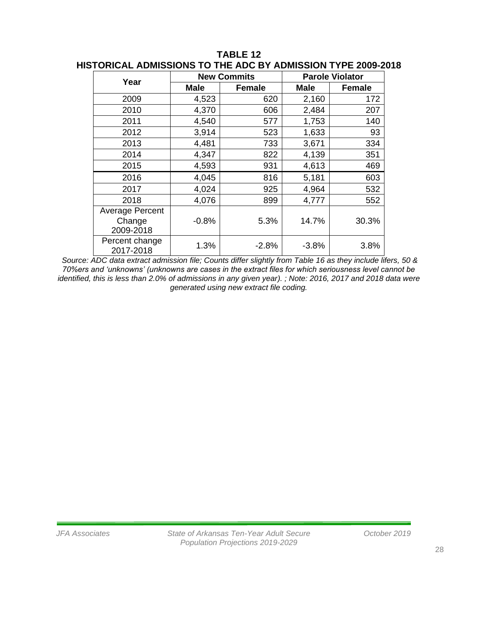|                                               |         | <b>New Commits</b> | <b>Parole Violator</b> |               |  |  |
|-----------------------------------------------|---------|--------------------|------------------------|---------------|--|--|
| Year                                          | Male    | <b>Female</b>      | <b>Male</b>            | <b>Female</b> |  |  |
| 2009                                          | 4,523   | 620                | 2,160                  | 172           |  |  |
| 2010                                          | 4,370   | 606                | 2,484                  | 207           |  |  |
| 2011                                          | 4,540   | 577                | 1,753                  | 140           |  |  |
| 2012                                          | 3,914   | 523                | 1,633                  | 93            |  |  |
| 2013                                          | 4,481   | 733                | 3,671                  | 334           |  |  |
| 2014                                          | 4,347   | 822                | 4,139                  | 351           |  |  |
| 2015                                          | 4,593   | 931                | 4,613                  | 469           |  |  |
| 2016                                          | 4,045   | 816                | 5,181                  | 603           |  |  |
| 2017                                          | 4,024   | 925                | 4,964                  | 532           |  |  |
| 2018                                          | 4,076   | 899                | 4,777                  | 552           |  |  |
| <b>Average Percent</b><br>Change<br>2009-2018 | $-0.8%$ | 5.3%               | 14.7%                  | 30.3%         |  |  |
| Percent change<br>2017-2018                   | 1.3%    | $-2.8%$            | $-3.8%$                | 3.8%          |  |  |

**TABLE 12 HISTORICAL ADMISSIONS TO THE ADC BY ADMISSION TYPE 2009-2018**

*Source: ADC data extract admission file; Counts differ slightly from Table 16 as they include lifers, 50 & 70%ers and 'unknowns' (unknowns are cases in the extract files for which seriousness level cannot be identified, this is less than 2.0% of admissions in any given year). ; Note: 2016, 2017 and 2018 data were generated using new extract file coding.*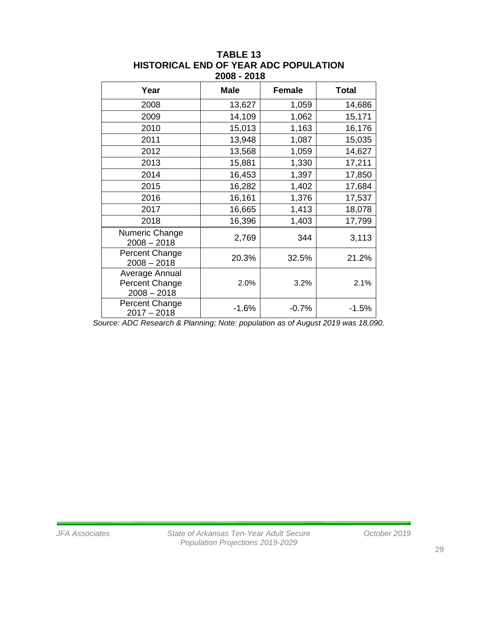| Year                                              | <b>Male</b> | <b>Female</b> | <b>Total</b> |
|---------------------------------------------------|-------------|---------------|--------------|
| 2008                                              | 13,627      | 1,059         | 14,686       |
| 2009                                              | 14,109      | 1,062         | 15,171       |
| 2010                                              | 15,013      | 1,163         | 16,176       |
| 2011                                              | 13,948      | 1,087         | 15,035       |
| 2012                                              | 13,568      | 1,059         | 14,627       |
| 2013                                              | 15,881      | 1,330         | 17,211       |
| 2014                                              | 16,453      | 1,397         | 17,850       |
| 2015                                              | 16,282      | 1,402         | 17,684       |
| 2016                                              | 16,161      | 1,376         | 17,537       |
| 2017                                              | 16,665      | 1,413         | 18,078       |
| 2018                                              | 16,396      | 1,403         | 17,799       |
| Numeric Change<br>$2008 - 2018$                   | 2,769       | 344           | 3,113        |
| Percent Change<br>$2008 - 2018$                   | 20.3%       | 32.5%         | 21.2%        |
| Average Annual<br>Percent Change<br>$2008 - 2018$ | 2.0%        | 3.2%          | 2.1%         |
| Percent Change<br>$2017 - 2018$                   | $-1.6%$     | $-0.7%$       | $-1.5%$      |

#### **TABLE 13 HISTORICAL END OF YEAR ADC POPULATION 2008 - 2018**

*Source: ADC Research & Planning; Note: population as of August 2019 was 18,090.*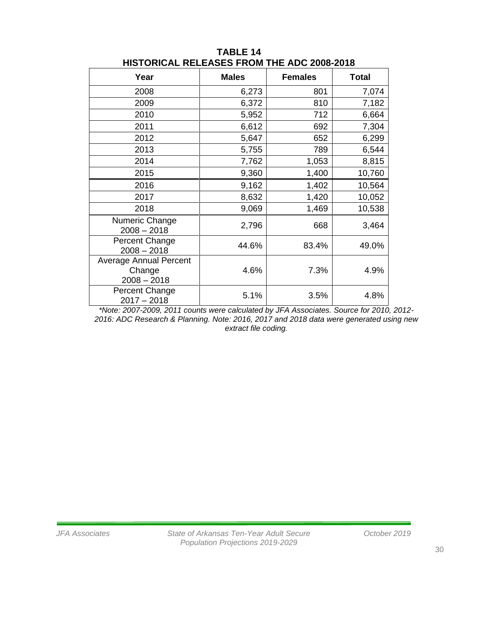| Year                            | <b>Males</b> | <b>Females</b> | <b>Total</b> |
|---------------------------------|--------------|----------------|--------------|
| 2008                            | 6,273        | 801            | 7,074        |
| 2009                            | 6,372        | 810            | 7,182        |
| 2010                            | 5,952        | 712            | 6,664        |
| 2011                            | 6,612        | 692            | 7,304        |
| 2012                            | 5,647        | 652            | 6,299        |
| 2013                            | 5,755        | 789            | 6,544        |
| 2014                            | 7,762        | 1,053          | 8,815        |
| 2015                            | 9,360        | 1,400          | 10,760       |
| 2016                            | 9,162        | 1,402          | 10,564       |
| 2017                            | 8,632        | 1,420          | 10,052       |
| 2018                            | 9,069        | 1,469          | 10,538       |
| Numeric Change<br>$2008 - 2018$ | 2,796        | 668            | 3,464        |
| Percent Change<br>$2008 - 2018$ | 44.6%        | 83.4%          | 49.0%        |
| <b>Average Annual Percent</b>   |              |                |              |
| Change<br>$2008 - 2018$         | 4.6%         | 7.3%           | 4.9%         |
| Percent Change<br>$2017 - 2018$ | 5.1%         | 3.5%           | 4.8%         |

**TABLE 14 HISTORICAL RELEASES FROM THE ADC 2008-2018**

*\*Note: 2007-2009, 2011 counts were calculated by JFA Associates. Source for 2010, 2012- 2016: ADC Research & Planning. Note: 2016, 2017 and 2018 data were generated using new extract file coding.*

30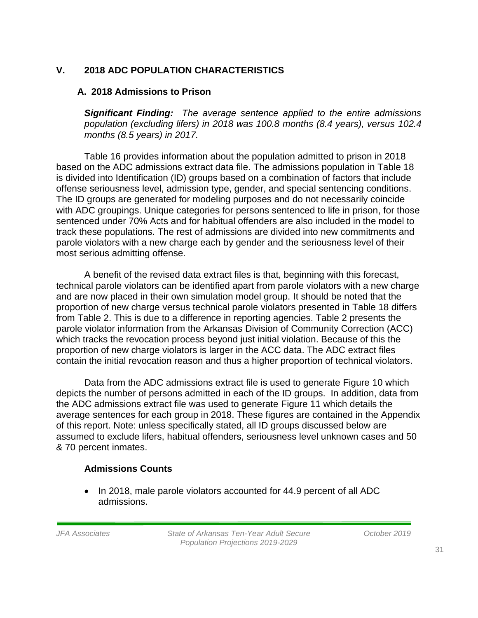## **V. 2018 ADC POPULATION CHARACTERISTICS**

## **A. 2018 Admissions to Prison**

*Significant Finding: The average sentence applied to the entire admissions population (excluding lifers) in 2018 was 100.8 months (8.4 years), versus 102.4 months (8.5 years) in 2017.*

Table 16 provides information about the population admitted to prison in 2018 based on the ADC admissions extract data file. The admissions population in Table 18 is divided into Identification (ID) groups based on a combination of factors that include offense seriousness level, admission type, gender, and special sentencing conditions. The ID groups are generated for modeling purposes and do not necessarily coincide with ADC groupings. Unique categories for persons sentenced to life in prison, for those sentenced under 70% Acts and for habitual offenders are also included in the model to track these populations. The rest of admissions are divided into new commitments and parole violators with a new charge each by gender and the seriousness level of their most serious admitting offense.

A benefit of the revised data extract files is that, beginning with this forecast, technical parole violators can be identified apart from parole violators with a new charge and are now placed in their own simulation model group. It should be noted that the proportion of new charge versus technical parole violators presented in Table 18 differs from Table 2. This is due to a difference in reporting agencies. Table 2 presents the parole violator information from the Arkansas Division of Community Correction (ACC) which tracks the revocation process beyond just initial violation. Because of this the proportion of new charge violators is larger in the ACC data. The ADC extract files contain the initial revocation reason and thus a higher proportion of technical violators.

Data from the ADC admissions extract file is used to generate Figure 10 which depicts the number of persons admitted in each of the ID groups. In addition, data from the ADC admissions extract file was used to generate Figure 11 which details the average sentences for each group in 2018. These figures are contained in the Appendix of this report. Note: unless specifically stated, all ID groups discussed below are assumed to exclude lifers, habitual offenders, seriousness level unknown cases and 50 & 70 percent inmates.

## **Admissions Counts**

• In 2018, male parole violators accounted for 44.9 percent of all ADC admissions.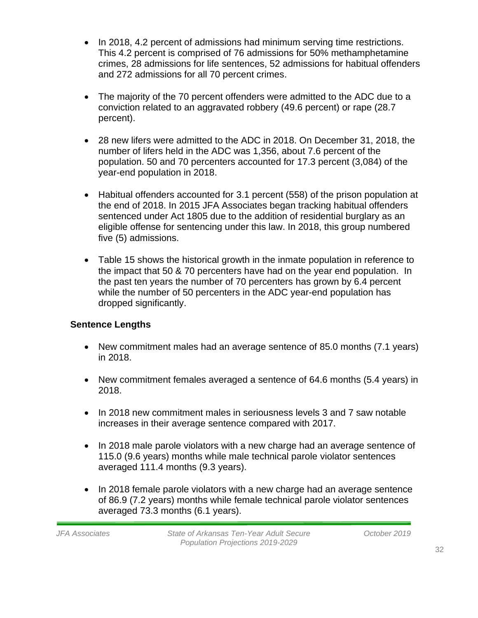- In 2018, 4.2 percent of admissions had minimum serving time restrictions. This 4.2 percent is comprised of 76 admissions for 50% methamphetamine crimes, 28 admissions for life sentences, 52 admissions for habitual offenders and 272 admissions for all 70 percent crimes.
- The majority of the 70 percent offenders were admitted to the ADC due to a conviction related to an aggravated robbery (49.6 percent) or rape (28.7 percent).
- 28 new lifers were admitted to the ADC in 2018. On December 31, 2018, the number of lifers held in the ADC was 1,356, about 7.6 percent of the population. 50 and 70 percenters accounted for 17.3 percent (3,084) of the year-end population in 2018.
- Habitual offenders accounted for 3.1 percent (558) of the prison population at the end of 2018. In 2015 JFA Associates began tracking habitual offenders sentenced under Act 1805 due to the addition of residential burglary as an eligible offense for sentencing under this law. In 2018, this group numbered five (5) admissions.
- Table 15 shows the historical growth in the inmate population in reference to the impact that 50 & 70 percenters have had on the year end population. In the past ten years the number of 70 percenters has grown by 6.4 percent while the number of 50 percenters in the ADC year-end population has dropped significantly.

## **Sentence Lengths**

- New commitment males had an average sentence of 85.0 months (7.1 years) in 2018.
- New commitment females averaged a sentence of 64.6 months (5.4 years) in 2018.
- In 2018 new commitment males in seriousness levels 3 and 7 saw notable increases in their average sentence compared with 2017.
- In 2018 male parole violators with a new charge had an average sentence of 115.0 (9.6 years) months while male technical parole violator sentences averaged 111.4 months (9.3 years).
- In 2018 female parole violators with a new charge had an average sentence of 86.9 (7.2 years) months while female technical parole violator sentences averaged 73.3 months (6.1 years).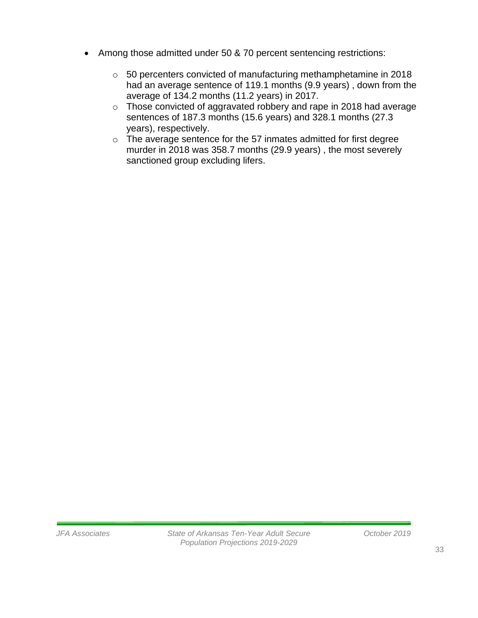- Among those admitted under 50 & 70 percent sentencing restrictions:
	- o 50 percenters convicted of manufacturing methamphetamine in 2018 had an average sentence of 119.1 months (9.9 years) , down from the average of 134.2 months (11.2 years) in 2017.
	- o Those convicted of aggravated robbery and rape in 2018 had average sentences of 187.3 months (15.6 years) and 328.1 months (27.3 years), respectively.
	- o The average sentence for the 57 inmates admitted for first degree murder in 2018 was 358.7 months (29.9 years) , the most severely sanctioned group excluding lifers.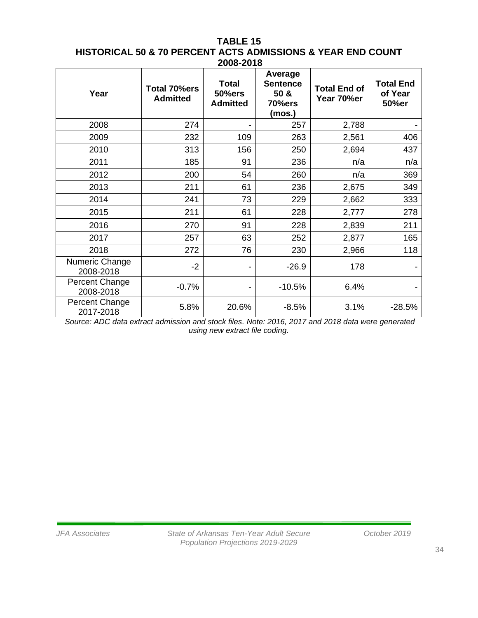#### **TABLE 15 HISTORICAL 50 & 70 PERCENT ACTS ADMISSIONS & YEAR END COUNT 2008-2018**

| Year                        | Total 70%ers<br><b>Admitted</b> | <b>Total</b><br><b>50%ers</b><br><b>Admitted</b> | Average<br><b>Sentence</b><br>50 &<br>70%ers<br>(mos.) | <b>Total End of</b><br>Year 70%er | <b>Total End</b><br>of Year<br>50%er |
|-----------------------------|---------------------------------|--------------------------------------------------|--------------------------------------------------------|-----------------------------------|--------------------------------------|
| 2008                        | 274                             |                                                  | 257                                                    | 2,788                             |                                      |
| 2009                        | 232                             | 109                                              | 263                                                    | 2,561                             | 406                                  |
| 2010                        | 313                             | 156                                              | 250                                                    | 2,694                             | 437                                  |
| 2011                        | 185                             | 91                                               | 236                                                    | n/a                               | n/a                                  |
| 2012                        | 200                             | 54                                               | 260                                                    | n/a                               | 369                                  |
| 2013                        | 211                             | 61                                               | 236                                                    | 2,675                             | 349                                  |
| 2014                        | 241                             | 73                                               | 229                                                    | 2,662                             | 333                                  |
| 2015                        | 211                             | 61                                               | 228                                                    | 2,777                             | 278                                  |
| 2016                        | 270                             | 91                                               | 228                                                    | 2,839                             | 211                                  |
| 2017                        | 257                             | 63                                               | 252                                                    | 2,877                             | 165                                  |
| 2018                        | 272                             | 76                                               | 230                                                    | 2,966                             | 118                                  |
| Numeric Change<br>2008-2018 | $-2$                            |                                                  | $-26.9$                                                | 178                               |                                      |
| Percent Change<br>2008-2018 | $-0.7%$                         | -                                                | $-10.5%$                                               | 6.4%                              |                                      |
| Percent Change<br>2017-2018 | 5.8%                            | 20.6%                                            | $-8.5%$                                                | 3.1%                              | $-28.5%$                             |

*Source: ADC data extract admission and stock files. Note: 2016, 2017 and 2018 data were generated using new extract file coding.*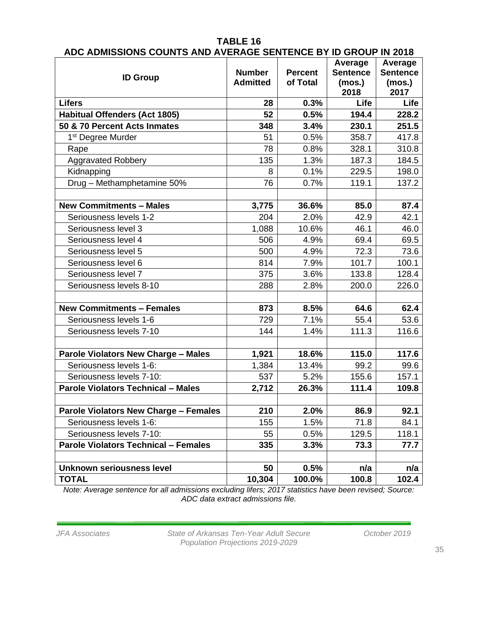|                                              |                 |                | Average         | Average         |
|----------------------------------------------|-----------------|----------------|-----------------|-----------------|
| <b>ID Group</b>                              | <b>Number</b>   | <b>Percent</b> | <b>Sentence</b> | <b>Sentence</b> |
|                                              | <b>Admitted</b> | of Total       | (mos.)          | (mos.)          |
|                                              |                 |                | 2018            | 2017            |
| <b>Lifers</b>                                | 28              | 0.3%           | Life            | Life            |
| <b>Habitual Offenders (Act 1805)</b>         | 52              | 0.5%           | 194.4           | 228.2           |
| 50 & 70 Percent Acts Inmates                 | 348             | 3.4%           | 230.1           | 251.5           |
| 1 <sup>st</sup> Degree Murder                | 51              | 0.5%           | 358.7           | 417.8           |
| Rape                                         | 78              | 0.8%           | 328.1           | 310.8           |
| <b>Aggravated Robbery</b>                    | 135             | 1.3%           | 187.3           | 184.5           |
| Kidnapping                                   | 8               | 0.1%           | 229.5           | 198.0           |
| Drug - Methamphetamine 50%                   | 76              | 0.7%           | 119.1           | 137.2           |
|                                              |                 |                |                 |                 |
| <b>New Commitments - Males</b>               | 3,775           | 36.6%          | 85.0            | 87.4            |
| Seriousness levels 1-2                       | 204             | 2.0%           | 42.9            | 42.1            |
| Seriousness level 3                          | 1,088           | 10.6%          | 46.1            | 46.0            |
| Seriousness level 4                          | 506             | 4.9%           | 69.4            | 69.5            |
| Seriousness level 5                          | 500             | 4.9%           | 72.3            | 73.6            |
| Seriousness level 6                          | 814             | 7.9%           | 101.7           | 100.1           |
| Seriousness level 7                          | 375             | 3.6%           | 133.8           | 128.4           |
| Seriousness levels 8-10                      | 288             | 2.8%           | 200.0           | 226.0           |
|                                              |                 |                |                 |                 |
| <b>New Commitments - Females</b>             | 873             | 8.5%           | 64.6            | 62.4            |
| Seriousness levels 1-6                       | 729             | 7.1%           | 55.4            | 53.6            |
| Seriousness levels 7-10                      | 144             | 1.4%           | 111.3           | 116.6           |
|                                              |                 |                |                 |                 |
| <b>Parole Violators New Charge - Males</b>   | 1,921           | 18.6%          | 115.0           | 117.6           |
| Seriousness levels 1-6:                      | 1,384           | 13.4%          | 99.2            | 99.6            |
| Seriousness levels 7-10:                     | 537             | 5.2%           | 155.6           | 157.1           |
| <b>Parole Violators Technical - Males</b>    | 2,712           | 26.3%          | 111.4           | 109.8           |
|                                              |                 |                |                 |                 |
| <b>Parole Violators New Charge - Females</b> | 210             | $2.0\%$        | 86.9            | 92.1            |
| Seriousness levels 1-6:                      | 155             | 1.5%           | 71.8            | 84.1            |
| Seriousness levels 7-10:                     | 55              | 0.5%           | 129.5           | 118.1           |
| <b>Parole Violators Technical - Females</b>  | 335             | 3.3%           | 73.3            | 77.7            |
|                                              |                 |                |                 |                 |
| Unknown seriousness level                    | 50              | 0.5%           | n/a             | n/a             |
| <b>TOTAL</b>                                 | 10,304          | 100.0%         | 100.8           | 102.4           |

## **TABLE 16 ADC ADMISSIONS COUNTS AND AVERAGE SENTENCE BY ID GROUP IN 2018**

*Note: Average sentence for all admissions excluding lifers; 2017 statistics have been revised; Source: ADC data extract admissions file.*

*JFA Associates State of Arkansas Ten-Year Adult Secure October 2019 Population Projections 2019-2029*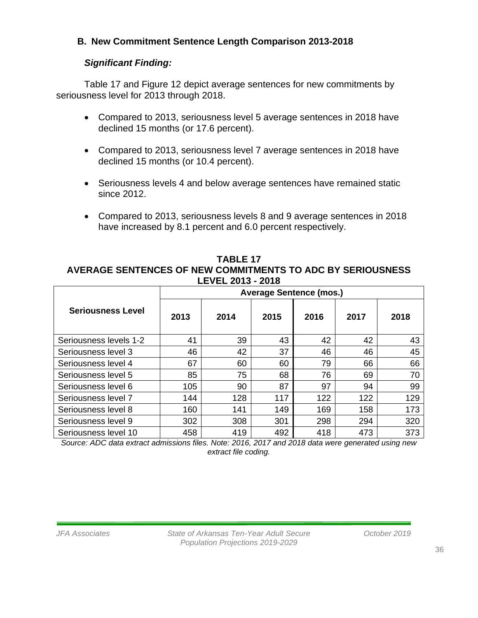## **B. New Commitment Sentence Length Comparison 2013-2018**

## *Significant Finding:*

Table 17 and Figure 12 depict average sentences for new commitments by seriousness level for 2013 through 2018.

- Compared to 2013, seriousness level 5 average sentences in 2018 have declined 15 months (or 17.6 percent).
- Compared to 2013, seriousness level 7 average sentences in 2018 have declined 15 months (or 10.4 percent).
- Seriousness levels 4 and below average sentences have remained static since 2012.
- Compared to 2013, seriousness levels 8 and 9 average sentences in 2018 have increased by 8.1 percent and 6.0 percent respectively.

**TABLE 17 AVERAGE SENTENCES OF NEW COMMITMENTS TO ADC BY SERIOUSNESS LEVEL 2013 - 2018**

|                          |      |      |      | <b>Average Sentence (mos.)</b> |      |      |
|--------------------------|------|------|------|--------------------------------|------|------|
| <b>Seriousness Level</b> | 2013 | 2014 | 2015 | 2016                           | 2017 | 2018 |
| Seriousness levels 1-2   | 41   | 39   | 43   | 42                             | 42   | 43   |
| Seriousness level 3      | 46   | 42   | 37   | 46                             | 46   | 45   |
| Seriousness level 4      | 67   | 60   | 60   | 79                             | 66   | 66   |
| Seriousness level 5      | 85   | 75   | 68   | 76                             | 69   | 70   |
| Seriousness level 6      | 105  | 90   | 87   | 97                             | 94   | 99   |
| Seriousness level 7      | 144  | 128  | 117  | 122                            | 122  | 129  |
| Seriousness level 8      | 160  | 141  | 149  | 169                            | 158  | 173  |
| Seriousness level 9      | 302  | 308  | 301  | 298                            | 294  | 320  |
| Seriousness level 10     | 458  | 419  | 492  | 418                            | 473  | 373  |

*Source: ADC data extract admissions files. Note: 2016, 2017 and 2018 data were generated using new extract file coding.*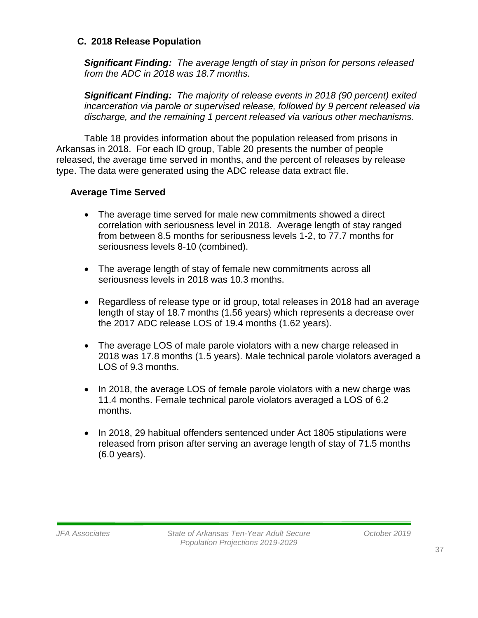### **C. 2018 Release Population**

*Significant Finding: The average length of stay in prison for persons released from the ADC in 2018 was 18.7 months.* 

*Significant Finding: The majority of release events in 2018 (90 percent) exited incarceration via parole or supervised release, followed by 9 percent released via discharge, and the remaining 1 percent released via various other mechanisms.*

Table 18 provides information about the population released from prisons in Arkansas in 2018. For each ID group, Table 20 presents the number of people released, the average time served in months, and the percent of releases by release type. The data were generated using the ADC release data extract file.

### **Average Time Served**

- The average time served for male new commitments showed a direct correlation with seriousness level in 2018. Average length of stay ranged from between 8.5 months for seriousness levels 1-2, to 77.7 months for seriousness levels 8-10 (combined).
- The average length of stay of female new commitments across all seriousness levels in 2018 was 10.3 months.
- Regardless of release type or id group, total releases in 2018 had an average length of stay of 18.7 months (1.56 years) which represents a decrease over the 2017 ADC release LOS of 19.4 months (1.62 years).
- The average LOS of male parole violators with a new charge released in 2018 was 17.8 months (1.5 years). Male technical parole violators averaged a LOS of 9.3 months.
- In 2018, the average LOS of female parole violators with a new charge was 11.4 months. Female technical parole violators averaged a LOS of 6.2 months.
- In 2018, 29 habitual offenders sentenced under Act 1805 stipulations were released from prison after serving an average length of stay of 71.5 months (6.0 years).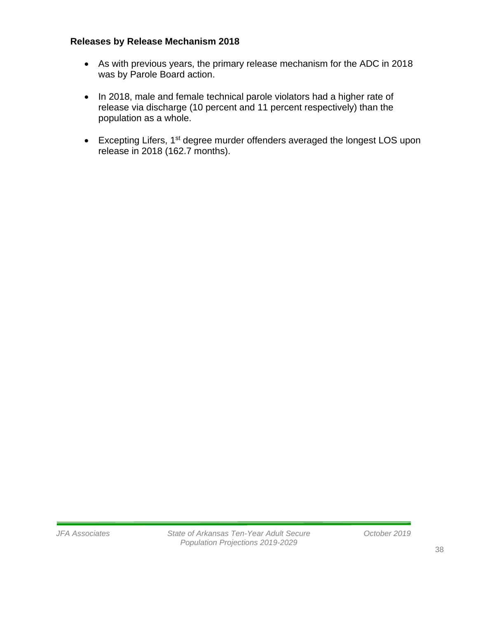## **Releases by Release Mechanism 2018**

- As with previous years, the primary release mechanism for the ADC in 2018 was by Parole Board action.
- In 2018, male and female technical parole violators had a higher rate of release via discharge (10 percent and 11 percent respectively) than the population as a whole.
- Excepting Lifers, 1<sup>st</sup> degree murder offenders averaged the longest LOS upon release in 2018 (162.7 months).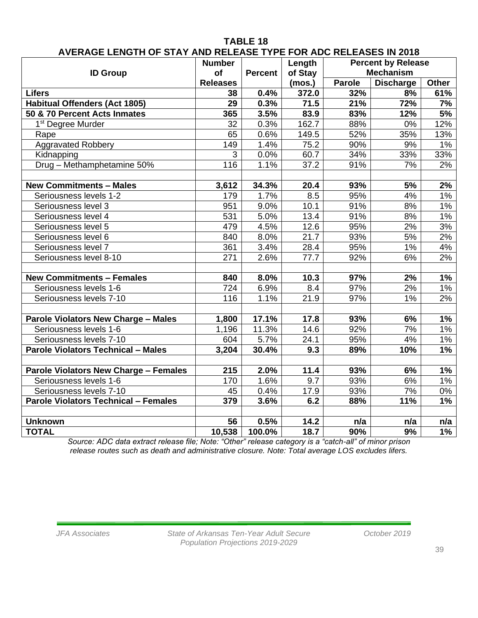|                                              | <b>Number</b>   |                | Length  |                 | <b>Percent by Release</b> |       |
|----------------------------------------------|-----------------|----------------|---------|-----------------|---------------------------|-------|
| <b>ID Group</b>                              | of              | <b>Percent</b> | of Stay |                 | <b>Mechanism</b>          |       |
|                                              | <b>Releases</b> |                | (mos.)  | Parole          | <b>Discharge</b>          | Other |
| <b>Lifers</b>                                | 38              | 0.4%           | 372.0   | 32%             | 8%                        | 61%   |
| <b>Habitual Offenders (Act 1805)</b>         | 29              | 0.3%           | 71.5    | 21%             | 72%                       | 7%    |
| 50 & 70 Percent Acts Inmates                 | 365             | 3.5%           | 83.9    | 83%             | 12%                       | 5%    |
| 1 <sup>st</sup> Degree Murder                | 32              | 0.3%           | 162.7   | 88%             | 0%                        | 12%   |
| Rape                                         | 65              | 0.6%           | 149.5   | 52%             | 35%                       | 13%   |
| <b>Aggravated Robbery</b>                    | 149             | 1.4%           | 75.2    | 90%             | 9%                        | 1%    |
| Kidnapping                                   | 3               | 0.0%           | 60.7    | 34%             | 33%                       | 33%   |
| Drug - Methamphetamine 50%                   | 116             | 1.1%           | 37.2    | 91%             | 7%                        | 2%    |
|                                              |                 |                |         |                 |                           |       |
| <b>New Commitments - Males</b>               | 3,612           | 34.3%          | 20.4    | 93%             | 5%                        | 2%    |
| Seriousness levels 1-2                       | 179             | 1.7%           | 8.5     | 95%             | 4%                        | $1\%$ |
| Seriousness level 3                          | 951             | 9.0%           | 10.1    | $\frac{1}{91%}$ | 8%                        | 1%    |
| Seriousness level 4                          | 531             | 5.0%           | 13.4    | $\frac{1}{91%}$ | 8%                        | 1%    |
| Seriousness level 5                          | 479             | 4.5%           | 12.6    | 95%             | 2%                        | 3%    |
| Seriousness level 6                          | 840             | 8.0%           | 21.7    | 93%             | 5%                        | 2%    |
| Seriousness level 7                          | 361             | 3.4%           | 28.4    | 95%             | $1\%$                     | 4%    |
| Seriousness level 8-10                       | 271             | 2.6%           | 77.7    | 92%             | 6%                        | 2%    |
|                                              |                 |                |         |                 |                           |       |
| <b>New Commitments - Females</b>             | 840             | 8.0%           | 10.3    | 97%             | 2%                        | 1%    |
| Seriousness levels 1-6                       | 724             | 6.9%           | 8.4     | 97%             | 2%                        | 1%    |
| Seriousness levels 7-10                      | 116             | 1.1%           | 21.9    | 97%             | 1%                        | 2%    |
|                                              |                 |                |         |                 |                           |       |
| <b>Parole Violators New Charge - Males</b>   | 1,800           | 17.1%          | 17.8    | 93%             | 6%                        | 1%    |
| Seriousness levels 1-6                       | 1,196           | 11.3%          | 14.6    | 92%             | 7%                        | 1%    |
| Seriousness levels 7-10                      | 604             | 5.7%           | 24.1    | 95%             | 4%                        | $1\%$ |
| <b>Parole Violators Technical - Males</b>    | 3,204           | 30.4%          | 9.3     | 89%             | 10%                       | 1%    |
|                                              |                 |                |         |                 |                           |       |
| <b>Parole Violators New Charge - Females</b> | 215             | 2.0%           | 11.4    | 93%             | 6%                        | 1%    |
| Seriousness levels 1-6                       | 170             | 1.6%           | 9.7     | 93%             | 6%                        | 1%    |
| Seriousness levels 7-10                      | 45              | 0.4%           | 17.9    | 93%             | 7%                        | 0%    |
| <b>Parole Violators Technical - Females</b>  | 379             | 3.6%           | 6.2     | 88%             | 11%                       | 1%    |
|                                              |                 |                |         |                 |                           |       |
| <b>Unknown</b>                               | 56              | 0.5%           | 14.2    | n/a             | n/a                       | n/a   |
| <b>TOTAL</b>                                 | 10,538          | 100.0%         | 18.7    | 90%             | 9%                        | 1%    |

## **TABLE 18 AVERAGE LENGTH OF STAY AND RELEASE TYPE FOR ADC RELEASES IN 2018**

*Source: ADC data extract release file; Note: "Other" release category is a "catch-all" of minor prison release routes such as death and administrative closure. Note: Total average LOS excludes lifers.*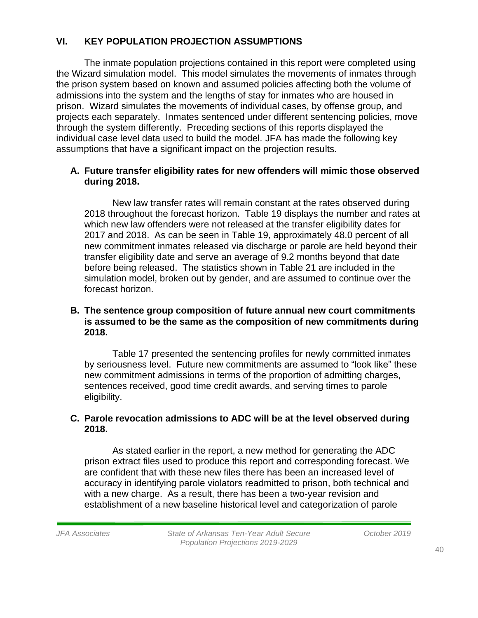## **VI. KEY POPULATION PROJECTION ASSUMPTIONS**

The inmate population projections contained in this report were completed using the Wizard simulation model. This model simulates the movements of inmates through the prison system based on known and assumed policies affecting both the volume of admissions into the system and the lengths of stay for inmates who are housed in prison. Wizard simulates the movements of individual cases, by offense group, and projects each separately. Inmates sentenced under different sentencing policies, move through the system differently. Preceding sections of this reports displayed the individual case level data used to build the model. JFA has made the following key assumptions that have a significant impact on the projection results.

## **A. Future transfer eligibility rates for new offenders will mimic those observed during 2018.**

New law transfer rates will remain constant at the rates observed during 2018 throughout the forecast horizon. Table 19 displays the number and rates at which new law offenders were not released at the transfer eligibility dates for 2017 and 2018. As can be seen in Table 19, approximately 48.0 percent of all new commitment inmates released via discharge or parole are held beyond their transfer eligibility date and serve an average of 9.2 months beyond that date before being released. The statistics shown in Table 21 are included in the simulation model, broken out by gender, and are assumed to continue over the forecast horizon.

### **B. The sentence group composition of future annual new court commitments is assumed to be the same as the composition of new commitments during 2018.**

Table 17 presented the sentencing profiles for newly committed inmates by seriousness level. Future new commitments are assumed to "look like" these new commitment admissions in terms of the proportion of admitting charges, sentences received, good time credit awards, and serving times to parole eligibility.

## **C. Parole revocation admissions to ADC will be at the level observed during 2018.**

As stated earlier in the report, a new method for generating the ADC prison extract files used to produce this report and corresponding forecast. We are confident that with these new files there has been an increased level of accuracy in identifying parole violators readmitted to prison, both technical and with a new charge. As a result, there has been a two-year revision and establishment of a new baseline historical level and categorization of parole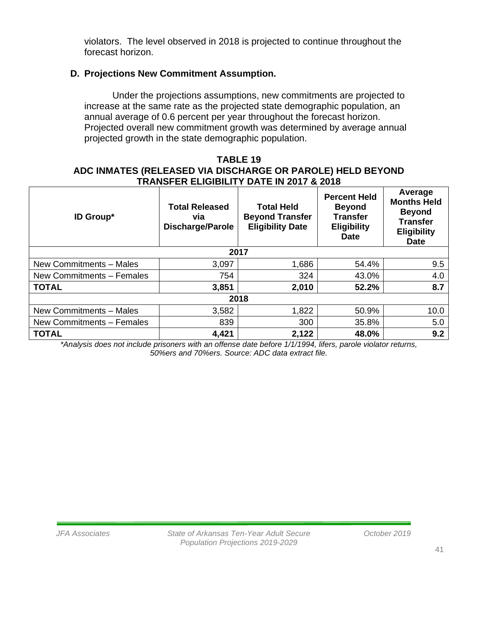violators. The level observed in 2018 is projected to continue throughout the forecast horizon.

## **D. Projections New Commitment Assumption.**

Under the projections assumptions, new commitments are projected to increase at the same rate as the projected state demographic population, an annual average of 0.6 percent per year throughout the forecast horizon. Projected overall new commitment growth was determined by average annual projected growth in the state demographic population.

### **TABLE 19 ADC INMATES (RELEASED VIA DISCHARGE OR PAROLE) HELD BEYOND TRANSFER ELIGIBILITY DATE IN 2017 & 2018**

| <b>ID Group*</b>          | <b>Total Released</b><br>via<br><b>Discharge/Parole</b> | <b>Total Held</b><br><b>Beyond Transfer</b><br><b>Eligibility Date</b> | <b>Percent Held</b><br><b>Beyond</b><br><b>Transfer</b><br><b>Eligibility</b><br><b>Date</b> | Average<br><b>Months Held</b><br><b>Beyond</b><br><b>Transfer</b><br><b>Eligibility</b><br><b>Date</b> |
|---------------------------|---------------------------------------------------------|------------------------------------------------------------------------|----------------------------------------------------------------------------------------------|--------------------------------------------------------------------------------------------------------|
|                           |                                                         | 2017                                                                   |                                                                                              |                                                                                                        |
| New Commitments - Males   | 3,097                                                   | 1,686                                                                  | 54.4%                                                                                        | 9.5                                                                                                    |
| New Commitments - Females | 754                                                     | 324                                                                    | 43.0%                                                                                        | 4.0                                                                                                    |
| <b>TOTAL</b>              | 3,851                                                   | 2,010                                                                  | 52.2%                                                                                        | 8.7                                                                                                    |
|                           |                                                         | 2018                                                                   |                                                                                              |                                                                                                        |
| New Commitments - Males   | 3,582                                                   | 1,822                                                                  | 50.9%                                                                                        | 10.0                                                                                                   |
| New Commitments - Females | 839                                                     | 300                                                                    | 35.8%                                                                                        | 5.0                                                                                                    |
| <b>TOTAL</b>              | 4,421                                                   | 2,122                                                                  | 48.0%                                                                                        | 9.2                                                                                                    |

*\*Analysis does not include prisoners with an offense date before 1/1/1994, lifers, parole violator returns, 50%ers and 70%ers. Source: ADC data extract file.*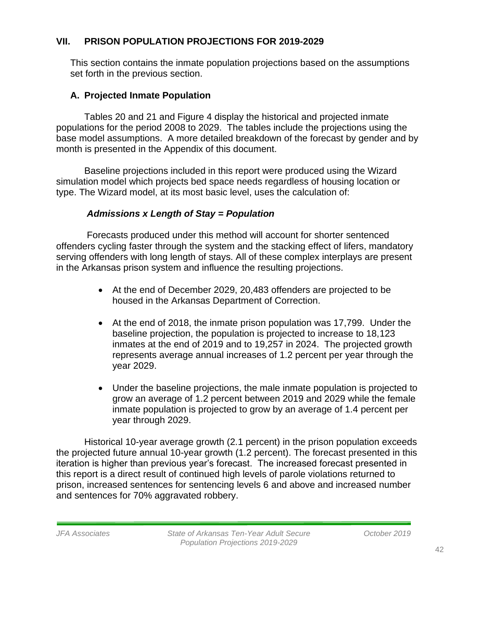## **VII. PRISON POPULATION PROJECTIONS FOR 2019-2029**

This section contains the inmate population projections based on the assumptions set forth in the previous section.

## **A. Projected Inmate Population**

Tables 20 and 21 and Figure 4 display the historical and projected inmate populations for the period 2008 to 2029. The tables include the projections using the base model assumptions. A more detailed breakdown of the forecast by gender and by month is presented in the Appendix of this document.

Baseline projections included in this report were produced using the Wizard simulation model which projects bed space needs regardless of housing location or type. The Wizard model, at its most basic level, uses the calculation of:

## *Admissions x Length of Stay = Population*

Forecasts produced under this method will account for shorter sentenced offenders cycling faster through the system and the stacking effect of lifers, mandatory serving offenders with long length of stays. All of these complex interplays are present in the Arkansas prison system and influence the resulting projections.

- At the end of December 2029, 20,483 offenders are projected to be housed in the Arkansas Department of Correction.
- At the end of 2018, the inmate prison population was 17,799. Under the baseline projection, the population is projected to increase to 18,123 inmates at the end of 2019 and to 19,257 in 2024. The projected growth represents average annual increases of 1.2 percent per year through the year 2029.
- Under the baseline projections, the male inmate population is projected to grow an average of 1.2 percent between 2019 and 2029 while the female inmate population is projected to grow by an average of 1.4 percent per year through 2029.

Historical 10-year average growth (2.1 percent) in the prison population exceeds the projected future annual 10-year growth (1.2 percent). The forecast presented in this iteration is higher than previous year's forecast. The increased forecast presented in this report is a direct result of continued high levels of parole violations returned to prison, increased sentences for sentencing levels 6 and above and increased number and sentences for 70% aggravated robbery.

42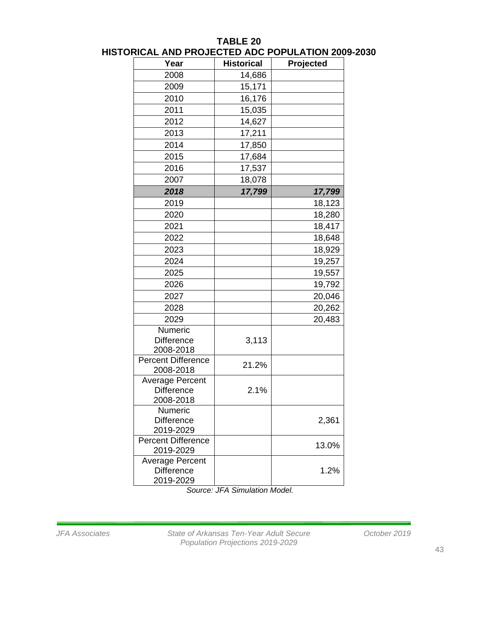| Year                                                     | <b>Historical</b> | Projected |
|----------------------------------------------------------|-------------------|-----------|
| 2008                                                     | 14,686            |           |
| 2009                                                     | 15,171            |           |
| 2010                                                     | 16,176            |           |
| 2011                                                     | 15,035            |           |
| 2012                                                     | 14,627            |           |
| 2013                                                     | 17,211            |           |
| 2014                                                     | 17,850            |           |
| 2015                                                     | 17,684            |           |
| 2016                                                     | 17,537            |           |
| 2007                                                     | 18,078            |           |
| 2018                                                     | 17,799            | 17,799    |
| 2019                                                     |                   | 18,123    |
| 2020                                                     |                   | 18,280    |
| 2021                                                     |                   | 18,417    |
| 2022                                                     |                   | 18,648    |
| 2023                                                     |                   | 18,929    |
| 2024                                                     |                   | 19,257    |
| 2025                                                     |                   | 19,557    |
| 2026                                                     |                   | 19,792    |
| 2027                                                     |                   | 20,046    |
| 2028                                                     |                   | 20,262    |
| 2029                                                     |                   | 20,483    |
| Numeric                                                  |                   |           |
| <b>Difference</b>                                        | 3,113             |           |
| 2008-2018                                                |                   |           |
| <b>Percent Difference</b>                                | 21.2%             |           |
| 2008-2018<br><b>Average Percent</b>                      |                   |           |
| <b>Difference</b>                                        | 2.1%              |           |
| 2008-2018                                                |                   |           |
| Numeric                                                  |                   |           |
| <b>Difference</b>                                        |                   | 2,361     |
| 2019-2029                                                |                   |           |
| <b>Percent Difference</b><br>2019-2029                   |                   | 13.0%     |
| <b>Average Percent</b><br><b>Difference</b><br>2019-2029 |                   | 1.2%      |

## **TABLE 20 HISTORICAL AND PROJECTED ADC POPULATION 2009-2030**

*Source: JFA Simulation Model.*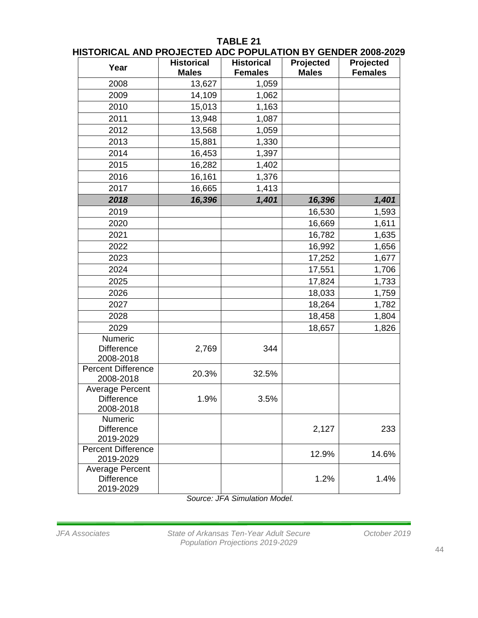## **TABLE 21**

| Year                                                     | <b>Historical</b> | <b>Historical</b> | Projected    | Projected      |
|----------------------------------------------------------|-------------------|-------------------|--------------|----------------|
|                                                          | <b>Males</b>      | <b>Females</b>    | <b>Males</b> | <b>Females</b> |
| 2008                                                     | 13,627            | 1,059             |              |                |
| 2009                                                     | 14,109            | 1,062             |              |                |
| 2010                                                     | 15,013            | 1,163             |              |                |
| 2011                                                     | 13,948            | 1,087             |              |                |
| 2012                                                     | 13,568            | 1,059             |              |                |
| 2013                                                     | 15,881            | 1,330             |              |                |
| 2014                                                     | 16,453            | 1,397             |              |                |
| 2015                                                     | 16,282            | 1,402             |              |                |
| 2016                                                     | 16,161            | 1,376             |              |                |
| 2017                                                     | 16,665            | 1,413             |              |                |
| 2018                                                     | 16,396            | 1,401             | 16,396       | 1,401          |
| 2019                                                     |                   |                   | 16,530       | 1,593          |
| 2020                                                     |                   |                   | 16,669       | 1,611          |
| 2021                                                     |                   |                   | 16,782       | 1,635          |
| 2022                                                     |                   |                   | 16,992       | 1,656          |
| 2023                                                     |                   |                   | 17,252       | 1,677          |
| 2024                                                     |                   |                   | 17,551       | 1,706          |
| 2025                                                     |                   |                   | 17,824       | 1,733          |
| 2026                                                     |                   |                   | 18,033       | 1,759          |
| 2027                                                     |                   |                   | 18,264       | 1,782          |
| 2028                                                     |                   |                   | 18,458       | 1,804          |
| 2029                                                     |                   |                   | 18,657       | 1,826          |
| Numeric                                                  |                   |                   |              |                |
| <b>Difference</b><br>2008-2018                           | 2,769             | 344               |              |                |
| <b>Percent Difference</b><br>2008-2018                   | 20.3%             | 32.5%             |              |                |
| <b>Average Percent</b><br><b>Difference</b><br>2008-2018 | 1.9%              | 3.5%              |              |                |
| Numeric<br><b>Difference</b><br>2019-2029                |                   |                   | 2,127        | 233            |
| <b>Percent Difference</b><br>2019-2029                   |                   |                   | 12.9%        | 14.6%          |
| <b>Average Percent</b><br><b>Difference</b><br>2019-2029 |                   |                   | 1.2%         | 1.4%           |

*Source: JFA Simulation Model.*

*JFA Associates State of Arkansas Ten-Year Adult Secure October 2019 Population Projections 2019-2029*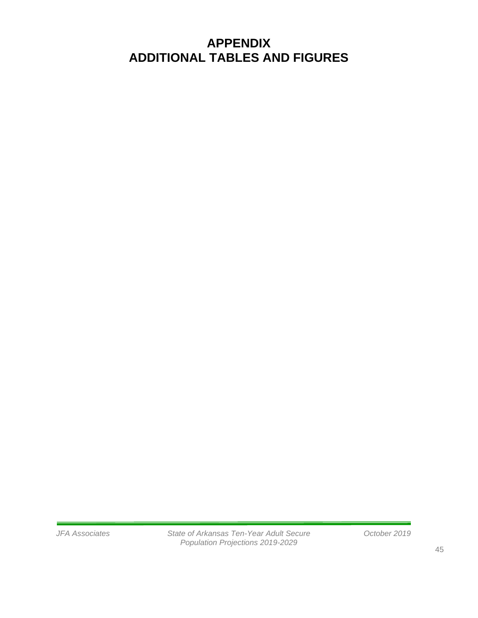# **APPENDIX ADDITIONAL TABLES AND FIGURES**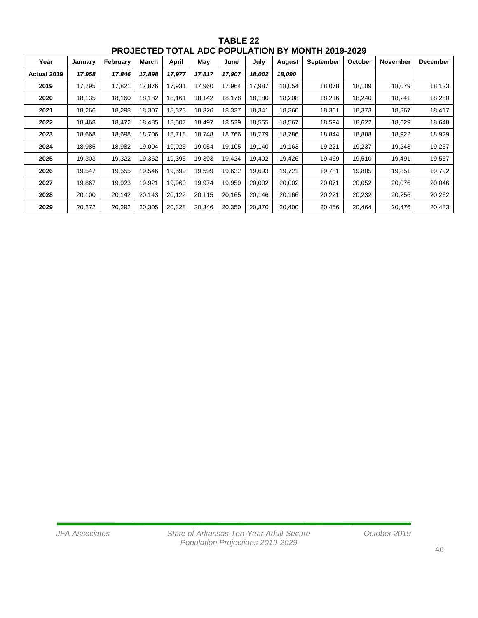| Year        | January | February | March  | <b>April</b> | May    | June   | July   | August | September | October | November | <b>December</b> |
|-------------|---------|----------|--------|--------------|--------|--------|--------|--------|-----------|---------|----------|-----------------|
| Actual 2019 | 17,958  | 17,846   | 17,898 | 17,977       | 17,817 | 17,907 | 18,002 | 18,090 |           |         |          |                 |
| 2019        | 17,795  | 17,821   | 17,876 | 17,931       | 17,960 | 17,964 | 17,987 | 18,054 | 18,078    | 18,109  | 18,079   | 18,123          |
| 2020        | 18,135  | 18,160   | 18,182 | 18,161       | 18,142 | 18,178 | 18,180 | 18,208 | 18,216    | 18,240  | 18,241   | 18,280          |
| 2021        | 18,266  | 18,298   | 18,307 | 18,323       | 18,326 | 18,337 | 18,341 | 18,360 | 18,361    | 18,373  | 18,367   | 18,417          |
| 2022        | 18,468  | 18,472   | 18,485 | 18,507       | 18,497 | 18,529 | 18,555 | 18,567 | 18,594    | 18,622  | 18,629   | 18,648          |
| 2023        | 18,668  | 18,698   | 18,706 | 18,718       | 18,748 | 18,766 | 18,779 | 18,786 | 18,844    | 18,888  | 18,922   | 18,929          |
| 2024        | 18,985  | 18,982   | 19,004 | 19,025       | 19,054 | 19,105 | 19,140 | 19,163 | 19,221    | 19,237  | 19,243   | 19,257          |
| 2025        | 19,303  | 19,322   | 19,362 | 19,395       | 19,393 | 19,424 | 19,402 | 19,426 | 19,469    | 19,510  | 19,491   | 19,557          |
| 2026        | 19,547  | 19,555   | 19,546 | 19,599       | 19,599 | 19,632 | 19,693 | 19,721 | 19,781    | 19,805  | 19,851   | 19,792          |
| 2027        | 19,867  | 19,923   | 19,921 | 19,960       | 19,974 | 19,959 | 20,002 | 20,002 | 20,071    | 20,052  | 20,076   | 20,046          |
| 2028        | 20,100  | 20,142   | 20,143 | 20,122       | 20,115 | 20,165 | 20,146 | 20,166 | 20,221    | 20,232  | 20,256   | 20,262          |
| 2029        | 20,272  | 20,292   | 20,305 | 20,328       | 20,346 | 20,350 | 20,370 | 20,400 | 20,456    | 20,464  | 20,476   | 20,483          |

**TABLE 22 PROJECTED TOTAL ADC POPULATION BY MONTH 2019-2029**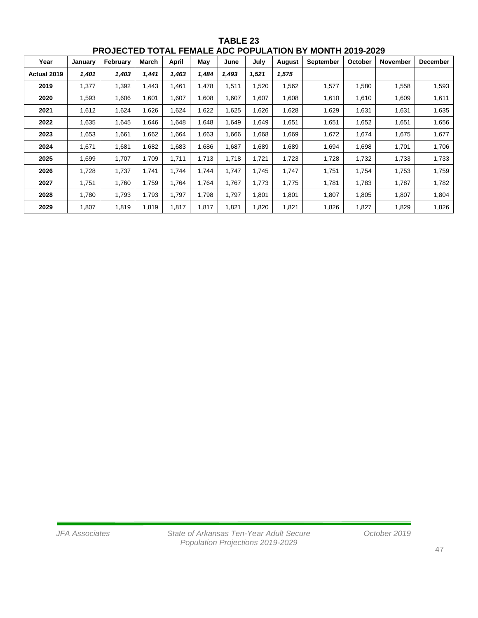| Year        | January | February | March | <b>April</b> | May   | June  | July  | August | <b>September</b> | October | <b>November</b> | <b>December</b> |
|-------------|---------|----------|-------|--------------|-------|-------|-------|--------|------------------|---------|-----------------|-----------------|
| Actual 2019 | 1,401   | 1,403    | 1,441 | 1,463        | 1,484 | 1,493 | 1,521 | 1,575  |                  |         |                 |                 |
| 2019        | 1,377   | 1,392    | 1,443 | 1,461        | 1,478 | 1,511 | 1,520 | 1,562  | 1,577            | 1,580   | 1,558           | 1,593           |
| 2020        | 1,593   | 1,606    | 1,601 | 1,607        | 1,608 | 1,607 | 1,607 | 1,608  | 1,610            | 1,610   | 1,609           | 1,611           |
| 2021        | 1,612   | 1,624    | 1,626 | 1,624        | 1,622 | .625  | 1,626 | 1,628  | 1,629            | 1,631   | 1,631           | 1,635           |
| 2022        | 1,635   | 1,645    | 1,646 | 1,648        | 1,648 | 1,649 | 1,649 | 1,651  | 1,651            | 1,652   | 1,651           | 1,656           |
| 2023        | 1,653   | 1,661    | 1,662 | 1,664        | 1,663 | 1,666 | 1,668 | 1,669  | 1,672            | 1,674   | 1,675           | 1,677           |
| 2024        | 1,671   | 1,681    | 1,682 | 1,683        | 1,686 | 1,687 | 1,689 | 1,689  | 1,694            | 1,698   | 1,701           | 1,706           |
| 2025        | 1,699   | 1,707    | 1,709 | 1,711        | 1,713 | 1,718 | 1,721 | 1,723  | 1,728            | 1,732   | 1,733           | 1,733           |
| 2026        | 1,728   | 1,737    | 1,741 | 1,744        | 1,744 | 1,747 | 1.745 | 1,747  | 1,751            | 1,754   | 1,753           | 1,759           |
| 2027        | 1,751   | 1,760    | 1,759 | 1,764        | 1,764 | 1,767 | 1,773 | 1,775  | 1,781            | 1,783   | 1,787           | 1,782           |
| 2028        | 1,780   | 1,793    | 1,793 | 1,797        | 1,798 | 1,797 | 1,801 | 1,801  | 1,807            | 1,805   | 1,807           | 1,804           |
| 2029        | 1,807   | 1,819    | 1,819 | 1,817        | 1,817 | 1,821 | 1,820 | 1,821  | 1,826            | 1,827   | 1,829           | 1,826           |

**TABLE 23 PROJECTED TOTAL FEMALE ADC POPULATION BY MONTH 2019-2029**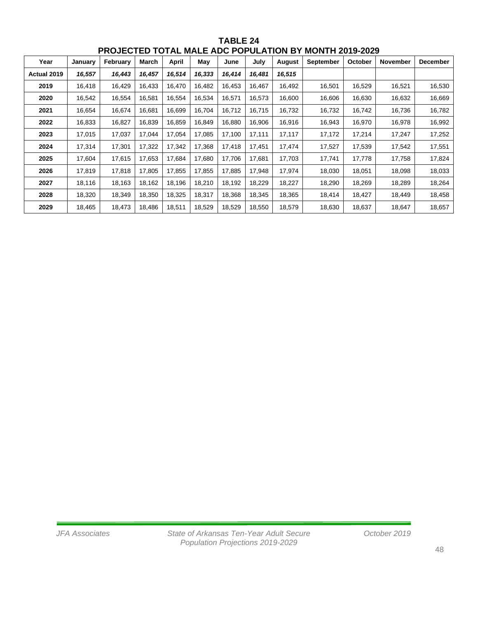| Year        | January | February | March  | April  | May    | June   | July   | <b>August</b> | <b>September</b> | October | <b>November</b> | <b>December</b> |
|-------------|---------|----------|--------|--------|--------|--------|--------|---------------|------------------|---------|-----------------|-----------------|
| Actual 2019 | 16,557  | 16,443   | 16,457 | 16,514 | 16,333 | 16,414 | 16,481 | 16,515        |                  |         |                 |                 |
| 2019        | 16,418  | 16,429   | 16,433 | 16,470 | 16,482 | 16,453 | 16,467 | 16,492        | 16,501           | 16,529  | 16,521          | 16,530          |
| 2020        | 16,542  | 16,554   | 16,581 | 16,554 | 16,534 | 16,571 | 16,573 | 16,600        | 16,606           | 16,630  | 16,632          | 16,669          |
| 2021        | 16,654  | 16,674   | 16,681 | 16,699 | 16,704 | 16,712 | 16,715 | 16,732        | 16,732           | 16,742  | 16,736          | 16,782          |
| 2022        | 16,833  | 16,827   | 16,839 | 16,859 | 16,849 | 16,880 | 16,906 | 16,916        | 16,943           | 16,970  | 16,978          | 16,992          |
| 2023        | 17,015  | 17,037   | 17,044 | 17,054 | 17,085 | 17,100 | 17,111 | 17,117        | 17,172           | 17,214  | 17,247          | 17,252          |
| 2024        | 17,314  | 17,301   | 17,322 | 17,342 | 17,368 | 17,418 | 17,451 | 17,474        | 17,527           | 17,539  | 17,542          | 17,551          |
| 2025        | 17,604  | 17,615   | 17,653 | 17,684 | 17,680 | 17,706 | 17,681 | 17,703        | 17,741           | 17,778  | 17,758          | 17,824          |
| 2026        | 17,819  | 17,818   | 17,805 | 17,855 | 17,855 | 17,885 | 17,948 | 17,974        | 18,030           | 18,051  | 18,098          | 18,033          |
| 2027        | 18,116  | 18,163   | 18,162 | 18,196 | 18,210 | 18,192 | 18,229 | 18,227        | 18,290           | 18,269  | 18,289          | 18,264          |
| 2028        | 18,320  | 18,349   | 18,350 | 18,325 | 18,317 | 18,368 | 18,345 | 18,365        | 18,414           | 18,427  | 18,449          | 18,458          |
| 2029        | 18,465  | 18,473   | 18,486 | 18,511 | 18,529 | 18,529 | 18,550 | 18,579        | 18,630           | 18,637  | 18,647          | 18,657          |

**TABLE 24 PROJECTED TOTAL MALE ADC POPULATION BY MONTH 2019-2029**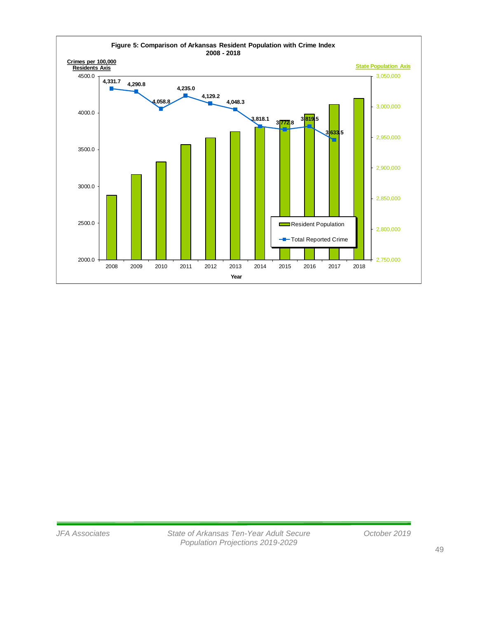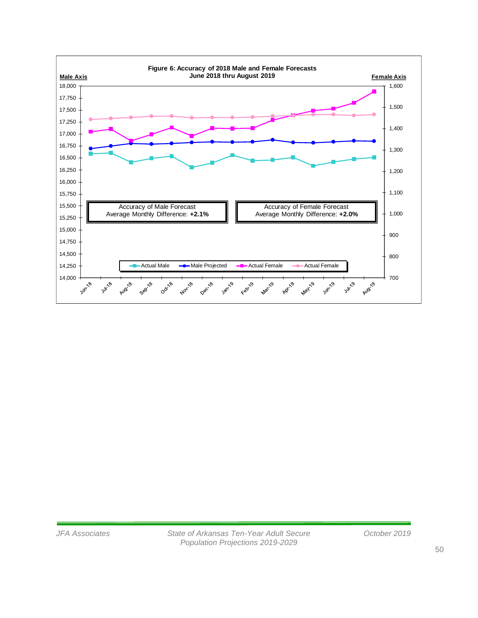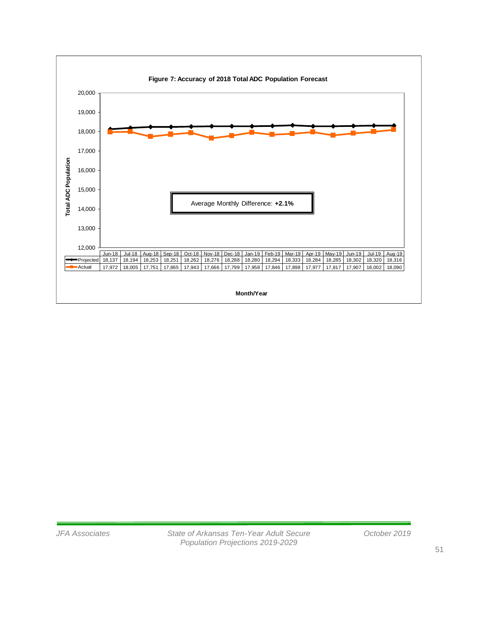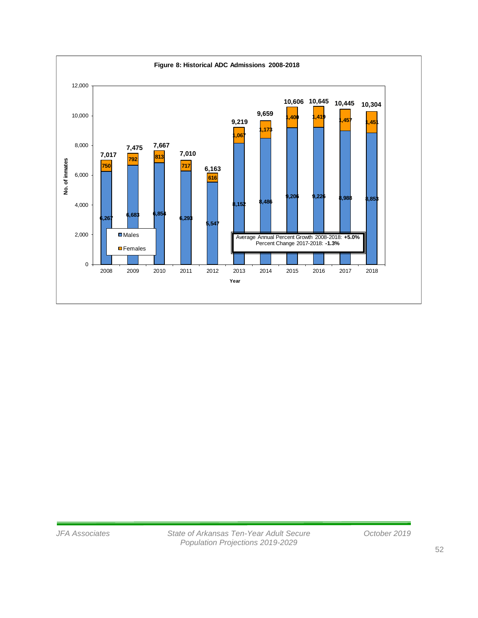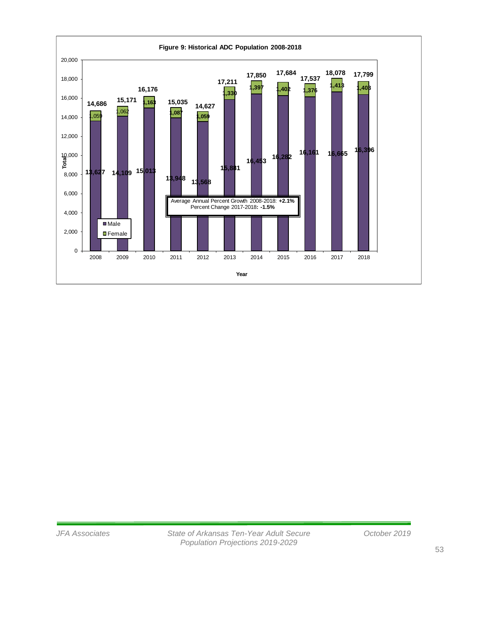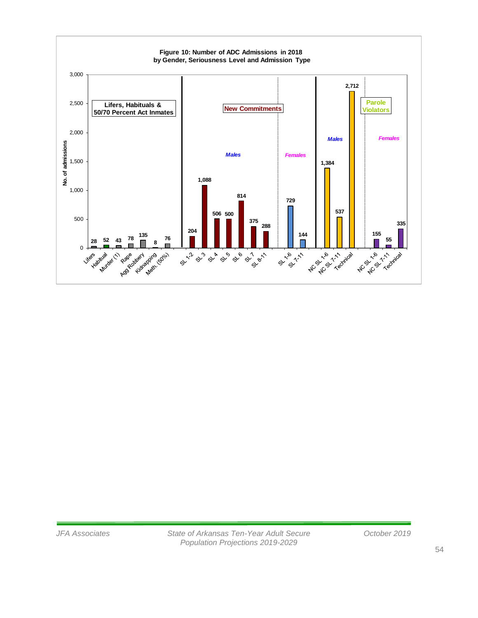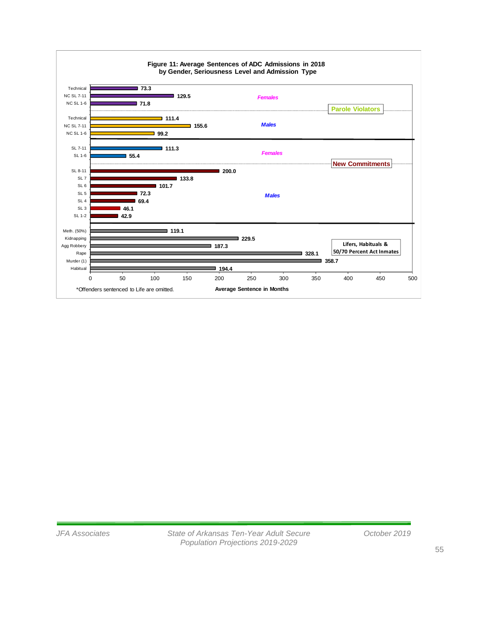